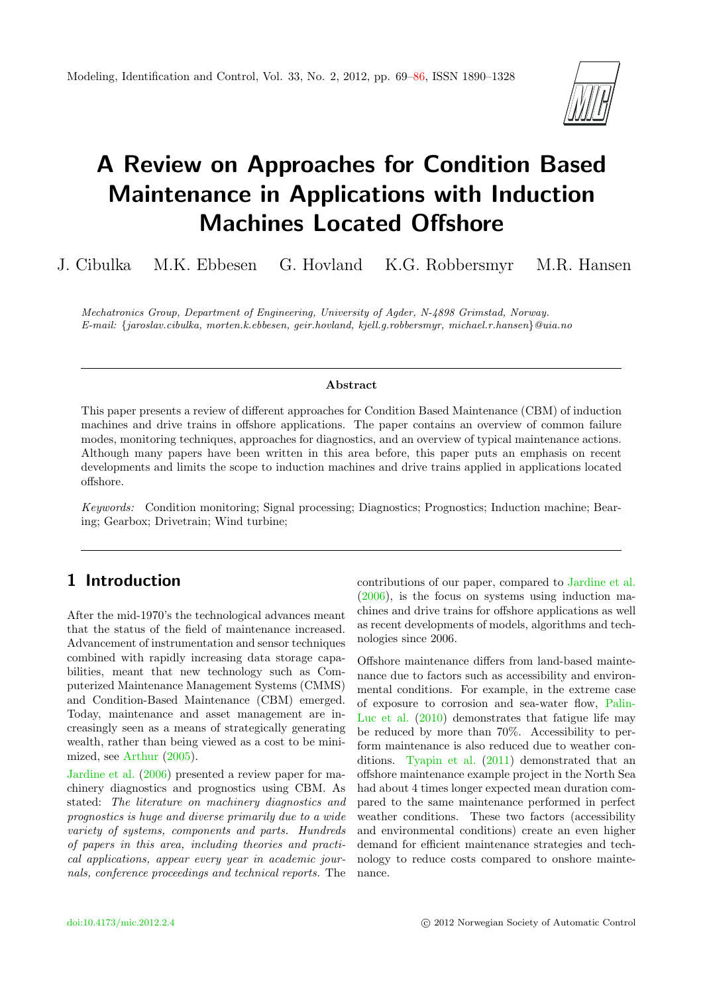

# A Review on Approaches for Condition Based Maintenance in Applications with Induction Machines Located Offshore

J. Cibulka M.K. Ebbesen G. Hovland K.G. Robbersmyr M.R. Hansen

Mechatronics Group, Department of Engineering, University of Agder, N-4898 Grimstad, Norway. E-mail: {jaroslav.cibulka, morten.k.ebbesen, geir.hovland, kjell.g.robbersmyr, michael.r.hansen}@uia.no

#### Abstract

This paper presents a review of different approaches for Condition Based Maintenance (CBM) of induction machines and drive trains in offshore applications. The paper contains an overview of common failure modes, monitoring techniques, approaches for diagnostics, and an overview of typical maintenance actions. Although many papers have been written in this area before, this paper puts an emphasis on recent developments and limits the scope to induction machines and drive trains applied in applications located offshore.

Keywords: Condition monitoring; Signal processing; Diagnostics; Prognostics; Induction machine; Bearing; Gearbox; Drivetrain; Wind turbine;

# 1 Introduction

After the mid-1970's the technological advances meant that the status of the field of maintenance increased. Advancement of instrumentation and sensor techniques combined with rapidly increasing data storage capabilities, meant that new technology such as Computerized Maintenance Management Systems (CMMS) and Condition-Based Maintenance (CBM) emerged. Today, maintenance and asset management are increasingly seen as a means of strategically generating wealth, rather than being viewed as a cost to be minimized, see [Arthur](#page-12-0) [\(2005\)](#page-12-0).

[Jardine et al.](#page-13-0) [\(2006\)](#page-13-0) presented a review paper for machinery diagnostics and prognostics using CBM. As stated: The literature on machinery diagnostics and prognostics is huge and diverse primarily due to a wide variety of systems, components and parts. Hundreds of papers in this area, including theories and practical applications, appear every year in academic journals, conference proceedings and technical reports. The contributions of our paper, compared to [Jardine et al.](#page-13-0) [\(2006\)](#page-13-0), is the focus on systems using induction machines and drive trains for offshore applications as well as recent developments of models, algorithms and technologies since 2006.

Offshore maintenance differs from land-based maintenance due to factors such as accessibility and environmental conditions. For example, in the extreme case of exposure to corrosion and sea-water flow, [Palin-](#page-15-0)[Luc et al.](#page-15-0) [\(2010\)](#page-15-0) demonstrates that fatigue life may be reduced by more than 70%. Accessibility to perform maintenance is also reduced due to weather conditions. [Tyapin et al.](#page-16-0) [\(2011\)](#page-16-0) demonstrated that an offshore maintenance example project in the North Sea had about 4 times longer expected mean duration compared to the same maintenance performed in perfect weather conditions. These two factors (accessibility and environmental conditions) create an even higher demand for efficient maintenance strategies and technology to reduce costs compared to onshore maintenance.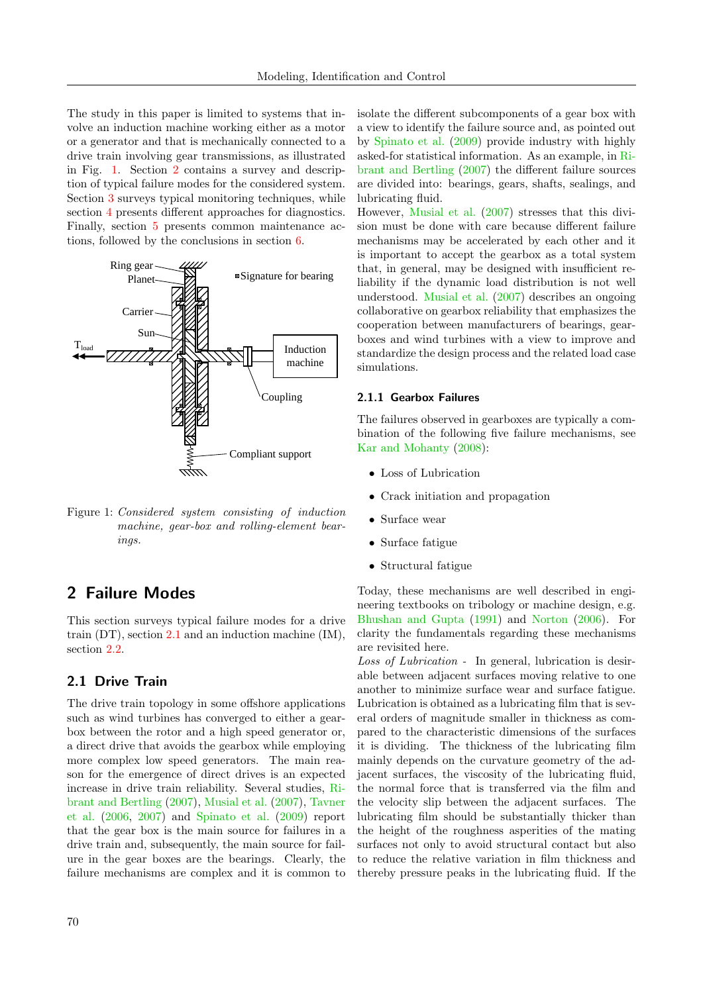The study in this paper is limited to systems that involve an induction machine working either as a motor or a generator and that is mechanically connected to a drive train involving gear transmissions, as illustrated in Fig. [1.](#page-1-0) Section [2](#page-1-1) contains a survey and description of typical failure modes for the considered system. Section [3](#page-5-0) surveys typical monitoring techniques, while section [4](#page-7-0) presents different approaches for diagnostics. Finally, section [5](#page-10-0) presents common maintenance actions, followed by the conclusions in section [6.](#page-11-0)



<span id="page-1-0"></span> $\mathcal{L}$ Ring gear Figure 1: *Considered system consisting of induction* machine, gear-box and rolling-element bearings.

# <span id="page-1-1"></span>2 Failure Modes

train  $(DT)$ , section [2.1](#page-1-2) and an induction machine  $(IM)$ , This section surveys typical failure modes for a drive section [2.2.](#page-3-0)

## <span id="page-1-2"></span>2.1 Drive Train

The drive train topology in some offshore applications such as wind turbines has converged to either a gearbox between the rotor and a high speed generator or, a direct drive that avoids the gearbox while employing more complex low speed generators. The main reason for the emergence of direct drives is an expected increase in drive train reliability. Several studies, [Ri](#page-15-1)[brant and Bertling](#page-15-1) [\(2007\)](#page-15-1), [Musial et al.](#page-15-2) [\(2007\)](#page-15-2), [Tavner](#page-16-1) [et al.](#page-16-1) [\(2006,](#page-16-1) [2007\)](#page-16-2) and [Spinato et al.](#page-16-3) [\(2009\)](#page-16-3) report that the gear box is the main source for failures in a drive train and, subsequently, the main source for failure in the gear boxes are the bearings. Clearly, the failure mechanisms are complex and it is common to isolate the different subcomponents of a gear box with a view to identify the failure source and, as pointed out by [Spinato et al.](#page-16-3) [\(2009\)](#page-16-3) provide industry with highly asked-for statistical information. As an example, in [Ri](#page-15-1)[brant and Bertling](#page-15-1) [\(2007\)](#page-15-1) the different failure sources are divided into: bearings, gears, shafts, sealings, and lubricating fluid.

However, [Musial et al.](#page-15-2) [\(2007\)](#page-15-2) stresses that this division must be done with care because different failure mechanisms may be accelerated by each other and it is important to accept the gearbox as a total system that, in general, may be designed with insufficient reliability if the dynamic load distribution is not well understood. [Musial et al.](#page-15-2) [\(2007\)](#page-15-2) describes an ongoing collaborative on gearbox reliability that emphasizes the cooperation between manufacturers of bearings, gearboxes and wind turbines with a view to improve and standardize the design process and the related load case simulations.

## 2.1.1 Gearbox Failures

The failures observed in gearboxes are typically a combination of the following five failure mechanisms, see [Kar and Mohanty](#page-14-0) [\(2008\)](#page-14-0):

- Loss of Lubrication
- Crack initiation and propagation
- Surface wear
- Surface fatigue
- Structural fatigue

Today, these mechanisms are well described in engineering textbooks on tribology or machine design, e.g. [Bhushan and Gupta](#page-12-1) [\(1991\)](#page-12-1) and [Norton](#page-15-3) [\(2006\)](#page-15-3). For clarity the fundamentals regarding these mechanisms are revisited here.

Loss of Lubrication - In general, lubrication is desirable between adjacent surfaces moving relative to one another to minimize surface wear and surface fatigue. Lubrication is obtained as a lubricating film that is several orders of magnitude smaller in thickness as compared to the characteristic dimensions of the surfaces it is dividing. The thickness of the lubricating film mainly depends on the curvature geometry of the adjacent surfaces, the viscosity of the lubricating fluid, the normal force that is transferred via the film and the velocity slip between the adjacent surfaces. The lubricating film should be substantially thicker than the height of the roughness asperities of the mating surfaces not only to avoid structural contact but also to reduce the relative variation in film thickness and thereby pressure peaks in the lubricating fluid. If the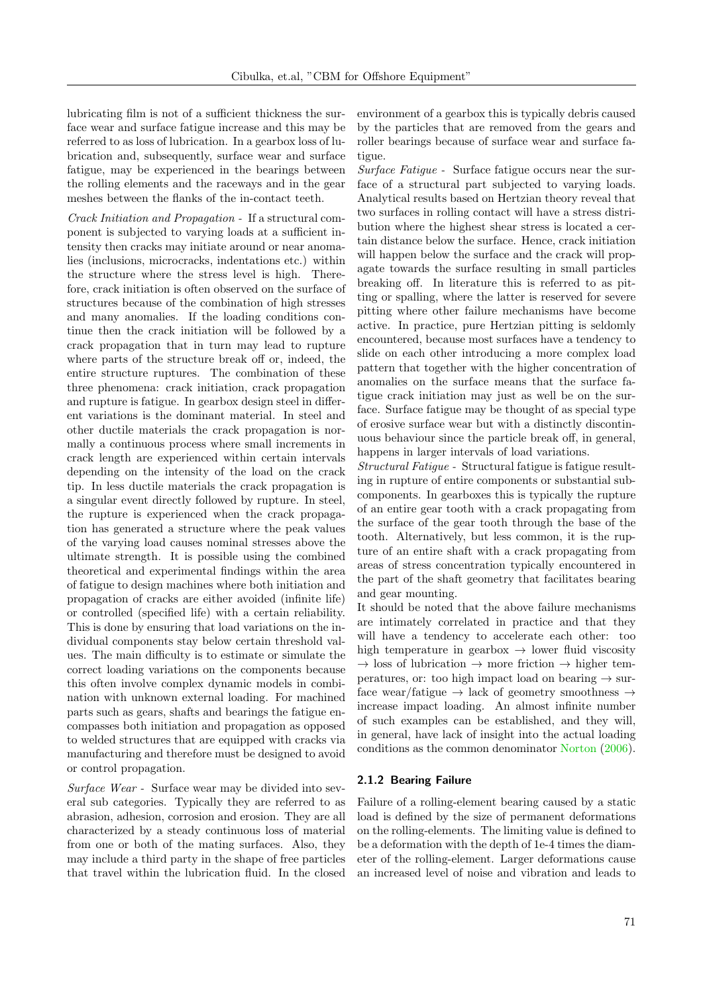lubricating film is not of a sufficient thickness the surface wear and surface fatigue increase and this may be referred to as loss of lubrication. In a gearbox loss of lubrication and, subsequently, surface wear and surface fatigue, may be experienced in the bearings between the rolling elements and the raceways and in the gear meshes between the flanks of the in-contact teeth.

Crack Initiation and Propagation - If a structural component is subjected to varying loads at a sufficient intensity then cracks may initiate around or near anomalies (inclusions, microcracks, indentations etc.) within the structure where the stress level is high. Therefore, crack initiation is often observed on the surface of structures because of the combination of high stresses and many anomalies. If the loading conditions continue then the crack initiation will be followed by a crack propagation that in turn may lead to rupture where parts of the structure break off or, indeed, the entire structure ruptures. The combination of these three phenomena: crack initiation, crack propagation and rupture is fatigue. In gearbox design steel in different variations is the dominant material. In steel and other ductile materials the crack propagation is normally a continuous process where small increments in crack length are experienced within certain intervals depending on the intensity of the load on the crack tip. In less ductile materials the crack propagation is a singular event directly followed by rupture. In steel, the rupture is experienced when the crack propagation has generated a structure where the peak values of the varying load causes nominal stresses above the ultimate strength. It is possible using the combined theoretical and experimental findings within the area of fatigue to design machines where both initiation and propagation of cracks are either avoided (infinite life) or controlled (specified life) with a certain reliability. This is done by ensuring that load variations on the individual components stay below certain threshold values. The main difficulty is to estimate or simulate the correct loading variations on the components because this often involve complex dynamic models in combination with unknown external loading. For machined parts such as gears, shafts and bearings the fatigue encompasses both initiation and propagation as opposed to welded structures that are equipped with cracks via manufacturing and therefore must be designed to avoid or control propagation.

Surface Wear - Surface wear may be divided into several sub categories. Typically they are referred to as abrasion, adhesion, corrosion and erosion. They are all characterized by a steady continuous loss of material from one or both of the mating surfaces. Also, they may include a third party in the shape of free particles that travel within the lubrication fluid. In the closed environment of a gearbox this is typically debris caused by the particles that are removed from the gears and roller bearings because of surface wear and surface fatigue.

Surface Fatigue - Surface fatigue occurs near the surface of a structural part subjected to varying loads. Analytical results based on Hertzian theory reveal that two surfaces in rolling contact will have a stress distribution where the highest shear stress is located a certain distance below the surface. Hence, crack initiation will happen below the surface and the crack will propagate towards the surface resulting in small particles breaking off. In literature this is referred to as pitting or spalling, where the latter is reserved for severe pitting where other failure mechanisms have become active. In practice, pure Hertzian pitting is seldomly encountered, because most surfaces have a tendency to slide on each other introducing a more complex load pattern that together with the higher concentration of anomalies on the surface means that the surface fatigue crack initiation may just as well be on the surface. Surface fatigue may be thought of as special type of erosive surface wear but with a distinctly discontinuous behaviour since the particle break off, in general, happens in larger intervals of load variations.

Structural Fatigue - Structural fatigue is fatigue resulting in rupture of entire components or substantial subcomponents. In gearboxes this is typically the rupture of an entire gear tooth with a crack propagating from the surface of the gear tooth through the base of the tooth. Alternatively, but less common, it is the rupture of an entire shaft with a crack propagating from areas of stress concentration typically encountered in the part of the shaft geometry that facilitates bearing and gear mounting.

It should be noted that the above failure mechanisms are intimately correlated in practice and that they will have a tendency to accelerate each other: too high temperature in gearbox  $\rightarrow$  lower fluid viscosity  $\rightarrow$  loss of lubrication  $\rightarrow$  more friction  $\rightarrow$  higher temperatures, or: too high impact load on bearing  $\rightarrow$  surface wear/fatigue  $\rightarrow$  lack of geometry smoothness  $\rightarrow$ increase impact loading. An almost infinite number of such examples can be established, and they will, in general, have lack of insight into the actual loading conditions as the common denominator [Norton](#page-15-3) [\(2006\)](#page-15-3).

### 2.1.2 Bearing Failure

Failure of a rolling-element bearing caused by a static load is defined by the size of permanent deformations on the rolling-elements. The limiting value is defined to be a deformation with the depth of 1e-4 times the diameter of the rolling-element. Larger deformations cause an increased level of noise and vibration and leads to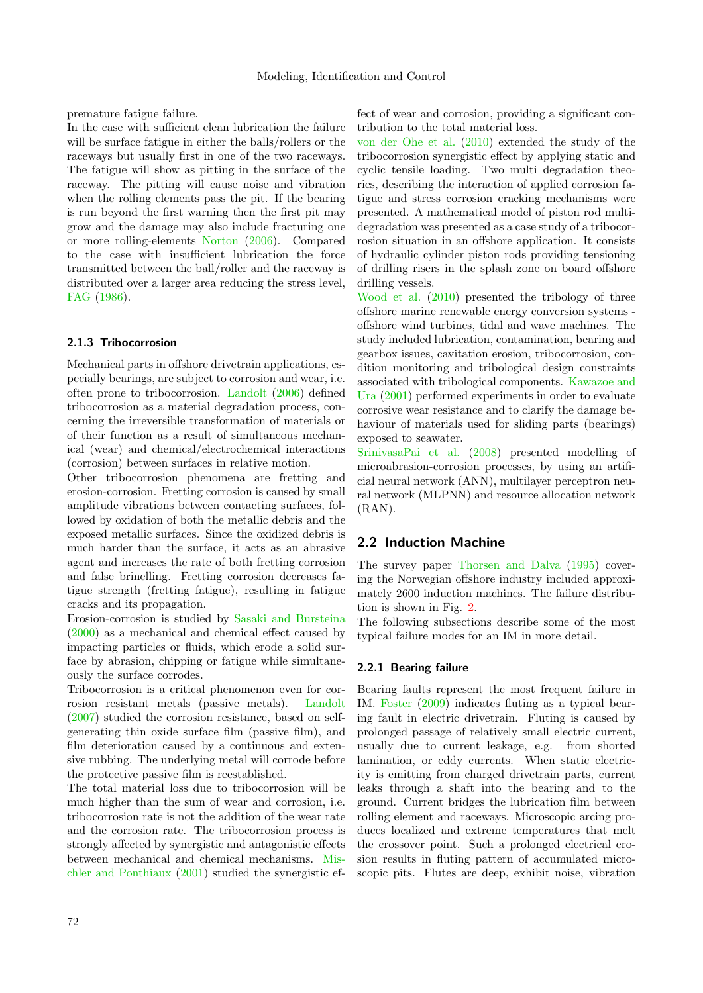premature fatigue failure.

In the case with sufficient clean lubrication the failure will be surface fatigue in either the balls/rollers or the raceways but usually first in one of the two raceways. The fatigue will show as pitting in the surface of the raceway. The pitting will cause noise and vibration when the rolling elements pass the pit. If the bearing is run beyond the first warning then the first pit may grow and the damage may also include fracturing one or more rolling-elements [Norton](#page-15-3) [\(2006\)](#page-15-3). Compared to the case with insufficient lubrication the force transmitted between the ball/roller and the raceway is distributed over a larger area reducing the stress level, [FAG](#page-13-1) [\(1986\)](#page-13-1).

## 2.1.3 Tribocorrosion

Mechanical parts in offshore drivetrain applications, especially bearings, are subject to corrosion and wear, i.e. often prone to tribocorrosion. [Landolt](#page-14-1) [\(2006\)](#page-14-1) defined tribocorrosion as a material degradation process, concerning the irreversible transformation of materials or of their function as a result of simultaneous mechanical (wear) and chemical/electrochemical interactions (corrosion) between surfaces in relative motion.

Other tribocorrosion phenomena are fretting and erosion-corrosion. Fretting corrosion is caused by small amplitude vibrations between contacting surfaces, followed by oxidation of both the metallic debris and the exposed metallic surfaces. Since the oxidized debris is much harder than the surface, it acts as an abrasive agent and increases the rate of both fretting corrosion and false brinelling. Fretting corrosion decreases fatigue strength (fretting fatigue), resulting in fatigue cracks and its propagation.

Erosion-corrosion is studied by [Sasaki and Bursteina](#page-16-4) [\(2000\)](#page-16-4) as a mechanical and chemical effect caused by impacting particles or fluids, which erode a solid surface by abrasion, chipping or fatigue while simultaneously the surface corrodes.

Tribocorrosion is a critical phenomenon even for corrosion resistant metals (passive metals). [Landolt](#page-14-2) [\(2007\)](#page-14-2) studied the corrosion resistance, based on selfgenerating thin oxide surface film (passive film), and film deterioration caused by a continuous and extensive rubbing. The underlying metal will corrode before the protective passive film is reestablished.

The total material loss due to tribocorrosion will be much higher than the sum of wear and corrosion, i.e. tribocorrosion rate is not the addition of the wear rate and the corrosion rate. The tribocorrosion process is strongly affected by synergistic and antagonistic effects between mechanical and chemical mechanisms. [Mis](#page-14-3)[chler and Ponthiaux](#page-14-3) [\(2001\)](#page-14-3) studied the synergistic effect of wear and corrosion, providing a significant contribution to the total material loss.

[von der Ohe et al.](#page-15-4) [\(2010\)](#page-15-4) extended the study of the tribocorrosion synergistic effect by applying static and cyclic tensile loading. Two multi degradation theories, describing the interaction of applied corrosion fatigue and stress corrosion cracking mechanisms were presented. A mathematical model of piston rod multidegradation was presented as a case study of a tribocorrosion situation in an offshore application. It consists of hydraulic cylinder piston rods providing tensioning of drilling risers in the splash zone on board offshore drilling vessels.

[Wood et al.](#page-17-1) [\(2010\)](#page-17-1) presented the tribology of three offshore marine renewable energy conversion systems offshore wind turbines, tidal and wave machines. The study included lubrication, contamination, bearing and gearbox issues, cavitation erosion, tribocorrosion, condition monitoring and tribological design constraints associated with tribological components. [Kawazoe and](#page-14-4) [Ura](#page-14-4) [\(2001\)](#page-14-4) performed experiments in order to evaluate corrosive wear resistance and to clarify the damage behaviour of materials used for sliding parts (bearings) exposed to seawater.

[SrinivasaPai et al.](#page-16-5) [\(2008\)](#page-16-5) presented modelling of microabrasion-corrosion processes, by using an artificial neural network (ANN), multilayer perceptron neural network (MLPNN) and resource allocation network (RAN).

## <span id="page-3-0"></span>2.2 Induction Machine

The survey paper [Thorsen and Dalva](#page-16-6) [\(1995\)](#page-16-6) covering the Norwegian offshore industry included approximately 2600 induction machines. The failure distribution is shown in Fig. [2.](#page-4-0)

The following subsections describe some of the most typical failure modes for an IM in more detail.

### 2.2.1 Bearing failure

Bearing faults represent the most frequent failure in IM. [Foster](#page-13-2) [\(2009\)](#page-13-2) indicates fluting as a typical bearing fault in electric drivetrain. Fluting is caused by prolonged passage of relatively small electric current, usually due to current leakage, e.g. from shorted lamination, or eddy currents. When static electricity is emitting from charged drivetrain parts, current leaks through a shaft into the bearing and to the ground. Current bridges the lubrication film between rolling element and raceways. Microscopic arcing produces localized and extreme temperatures that melt the crossover point. Such a prolonged electrical erosion results in fluting pattern of accumulated microscopic pits. Flutes are deep, exhibit noise, vibration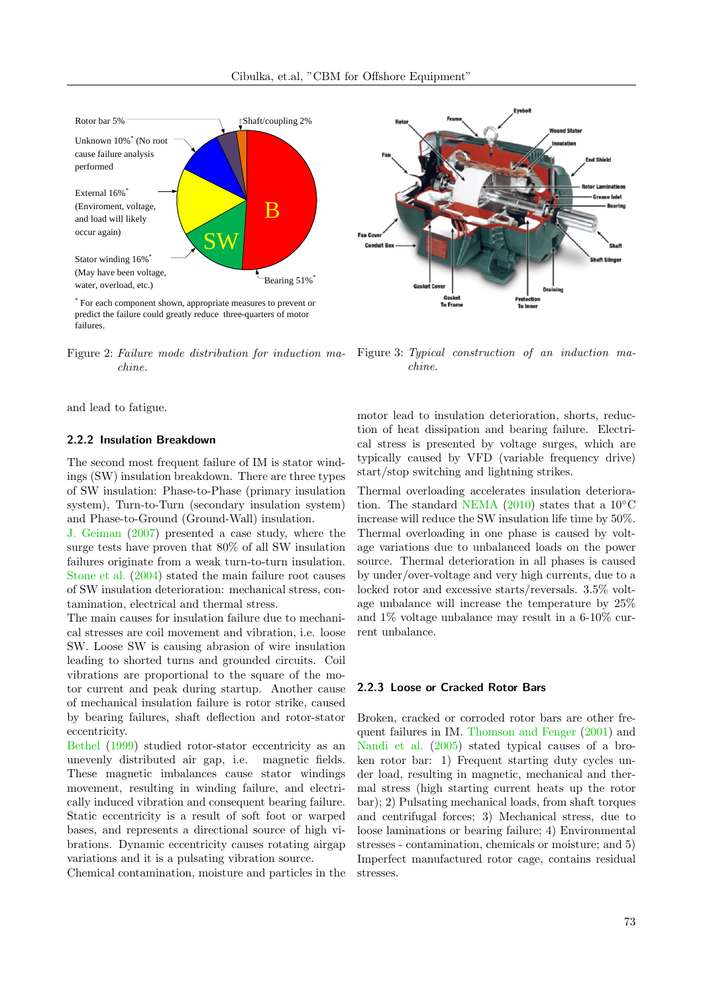

\* For each component shown, appropriate measures to prevent or predict the failure could greatly reduce three-quarters of motor failures.

chine.

and lead to fatigue.

### <span id="page-4-1"></span>2.2.2 Insulation Breakdown

The second most frequent failure of IM is stator windings (SW) insulation breakdown. There are three types of SW insulation: Phase-to-Phase (primary insulation system), Turn-to-Turn (secondary insulation system) and Phase-to-Ground (Ground-Wall) insulation.

[J. Geiman](#page-13-3) [\(2007\)](#page-13-3) presented a case study, where the surge tests have proven that 80% of all SW insulation failures originate from a weak turn-to-turn insulation. [Stone et al.](#page-16-7) [\(2004\)](#page-16-7) stated the main failure root causes of SW insulation deterioration: mechanical stress, contamination, electrical and thermal stress.

The main causes for insulation failure due to mechanical stresses are coil movement and vibration, i.e. loose SW. Loose SW is causing abrasion of wire insulation leading to shorted turns and grounded circuits. Coil vibrations are proportional to the square of the motor current and peak during startup. Another cause of mechanical insulation failure is rotor strike, caused by bearing failures, shaft deflection and rotor-stator eccentricity.

[Bethel](#page-12-2) [\(1999\)](#page-12-2) studied rotor-stator eccentricity as an unevenly distributed air gap, i.e. magnetic fields. These magnetic imbalances cause stator windings movement, resulting in winding failure, and electrically induced vibration and consequent bearing failure. Static eccentricity is a result of soft foot or warped bases, and represents a directional source of high vibrations. Dynamic eccentricity causes rotating airgap variations and it is a pulsating vibration source.

Chemical contamination, moisture and particles in the



<span id="page-4-0"></span>Figure 2: Failure mode distribution for induction ma- Figure 3: Typical construction of an induction machine.

motor lead to insulation deterioration, shorts, reduction of heat dissipation and bearing failure. Electrical stress is presented by voltage surges, which are typically caused by VFD (variable frequency drive) start/stop switching and lightning strikes.

Thermal overloading accelerates insulation deteriora-tion. The standard [NEMA](#page-15-5) [\(2010\)](#page-15-5) states that a  $10°C$ increase will reduce the SW insulation life time by 50%. Thermal overloading in one phase is caused by voltage variations due to unbalanced loads on the power source. Thermal deterioration in all phases is caused by under/over-voltage and very high currents, due to a locked rotor and excessive starts/reversals. 3.5% voltage unbalance will increase the temperature by 25% and 1% voltage unbalance may result in a 6-10% current unbalance.

#### 2.2.3 Loose or Cracked Rotor Bars

Broken, cracked or corroded rotor bars are other frequent failures in IM. [Thomson and Fenger](#page-16-8) [\(2001\)](#page-16-8) and [Nandi et al.](#page-15-6) [\(2005\)](#page-15-6) stated typical causes of a broken rotor bar: 1) Frequent starting duty cycles under load, resulting in magnetic, mechanical and thermal stress (high starting current heats up the rotor bar); 2) Pulsating mechanical loads, from shaft torques and centrifugal forces; 3) Mechanical stress, due to loose laminations or bearing failure; 4) Environmental stresses - contamination, chemicals or moisture; and 5) Imperfect manufactured rotor cage, contains residual stresses.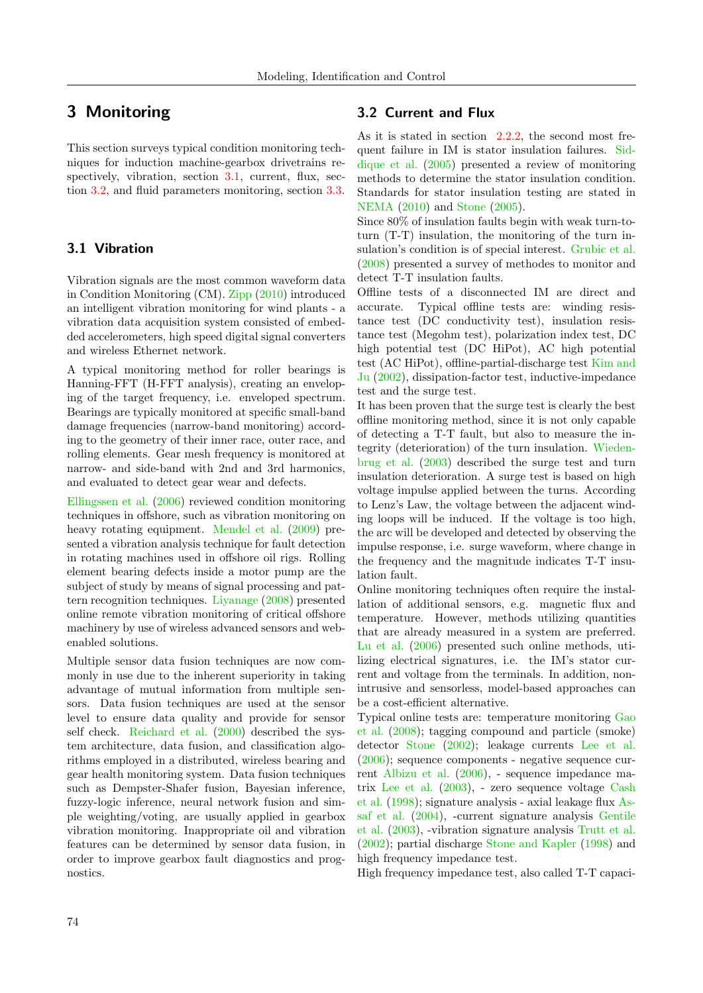# <span id="page-5-0"></span>3 Monitoring

This section surveys typical condition monitoring techniques for induction machine-gearbox drivetrains re-spectively, vibration, section [3.1,](#page-5-1) current, flux, section [3.2,](#page-5-2) and fluid parameters monitoring, section [3.3.](#page-6-0)

## <span id="page-5-1"></span>3.1 Vibration

Vibration signals are the most common waveform data in Condition Monitoring (CM). [Zipp](#page-17-2) [\(2010\)](#page-17-2) introduced an intelligent vibration monitoring for wind plants - a vibration data acquisition system consisted of embedded accelerometers, high speed digital signal converters and wireless Ethernet network.

A typical monitoring method for roller bearings is Hanning-FFT (H-FFT analysis), creating an enveloping of the target frequency, i.e. enveloped spectrum. Bearings are typically monitored at specific small-band damage frequencies (narrow-band monitoring) according to the geometry of their inner race, outer race, and rolling elements. Gear mesh frequency is monitored at narrow- and side-band with 2nd and 3rd harmonics, and evaluated to detect gear wear and defects.

[Ellingssen et al.](#page-13-4) [\(2006\)](#page-13-4) reviewed condition monitoring techniques in offshore, such as vibration monitoring on heavy rotating equipment. [Mendel et al.](#page-14-5) [\(2009\)](#page-14-5) presented a vibration analysis technique for fault detection in rotating machines used in offshore oil rigs. Rolling element bearing defects inside a motor pump are the subject of study by means of signal processing and pattern recognition techniques. [Liyanage](#page-14-6) [\(2008\)](#page-14-6) presented online remote vibration monitoring of critical offshore machinery by use of wireless advanced sensors and webenabled solutions.

Multiple sensor data fusion techniques are now commonly in use due to the inherent superiority in taking advantage of mutual information from multiple sensors. Data fusion techniques are used at the sensor level to ensure data quality and provide for sensor self check. [Reichard et al.](#page-15-7) [\(2000\)](#page-15-7) described the system architecture, data fusion, and classification algorithms employed in a distributed, wireless bearing and gear health monitoring system. Data fusion techniques such as Dempster-Shafer fusion, Bayesian inference, fuzzy-logic inference, neural network fusion and simple weighting/voting, are usually applied in gearbox vibration monitoring. Inappropriate oil and vibration features can be determined by sensor data fusion, in order to improve gearbox fault diagnostics and prognostics.

## <span id="page-5-2"></span>3.2 Current and Flux

As it is stated in section  $2.2.2$ , the second most frequent failure in IM is stator insulation failures. [Sid](#page-16-9)[dique et al.](#page-16-9) [\(2005\)](#page-16-9) presented a review of monitoring methods to determine the stator insulation condition. Standards for stator insulation testing are stated in [NEMA](#page-15-5) [\(2010\)](#page-15-5) and [Stone](#page-16-10) [\(2005\)](#page-16-10).

Since 80% of insulation faults begin with weak turn-toturn (T-T) insulation, the monitoring of the turn insulation's condition is of special interest. [Grubic et al.](#page-13-5) [\(2008\)](#page-13-5) presented a survey of methodes to monitor and detect T-T insulation faults.

Offline tests of a disconnected IM are direct and accurate. Typical offline tests are: winding resistance test (DC conductivity test), insulation resistance test (Megohm test), polarization index test, DC high potential test (DC HiPot), AC high potential test (AC HiPot), offline-partial-discharge test [Kim and](#page-14-7) [Ju](#page-14-7) [\(2002\)](#page-14-7), dissipation-factor test, inductive-impedance test and the surge test.

It has been proven that the surge test is clearly the best offline monitoring method, since it is not only capable of detecting a T-T fault, but also to measure the integrity (deterioration) of the turn insulation. [Wieden](#page-17-3)[brug et al.](#page-17-3) [\(2003\)](#page-17-3) described the surge test and turn insulation deterioration. A surge test is based on high voltage impulse applied between the turns. According to Lenz's Law, the voltage between the adjacent winding loops will be induced. If the voltage is too high, the arc will be developed and detected by observing the impulse response, i.e. surge waveform, where change in the frequency and the magnitude indicates T-T insulation fault.

Online monitoring techniques often require the installation of additional sensors, e.g. magnetic flux and temperature. However, methods utilizing quantities that are already measured in a system are preferred. [Lu et al.](#page-14-8) [\(2006\)](#page-14-8) presented such online methods, utilizing electrical signatures, i.e. the IM's stator current and voltage from the terminals. In addition, nonintrusive and sensorless, model-based approaches can be a cost-efficient alternative.

Typical online tests are: temperature monitoring [Gao](#page-13-6) [et al.](#page-13-6) [\(2008\)](#page-13-6); tagging compound and particle (smoke) detector [Stone](#page-16-11) [\(2002\)](#page-16-11); leakage currents [Lee et al.](#page-14-9) [\(2006\)](#page-14-9); sequence components - negative sequence current [Albizu et al.](#page-12-3) [\(2006\)](#page-12-3), - sequence impedance matrix [Lee et al.](#page-14-10) [\(2003\)](#page-14-10), - zero sequence voltage [Cash](#page-13-7) [et al.](#page-13-7) [\(1998\)](#page-13-7); signature analysis - axial leakage flux [As](#page-12-4)[saf et al.](#page-12-4) [\(2004\)](#page-12-4), -current signature analysis [Gentile](#page-13-8) [et al.](#page-13-8) [\(2003\)](#page-13-8), -vibration signature analysis [Trutt et al.](#page-16-12) [\(2002\)](#page-16-12); partial discharge [Stone and Kapler](#page-16-13) [\(1998\)](#page-16-13) and high frequency impedance test.

High frequency impedance test, also called T-T capaci-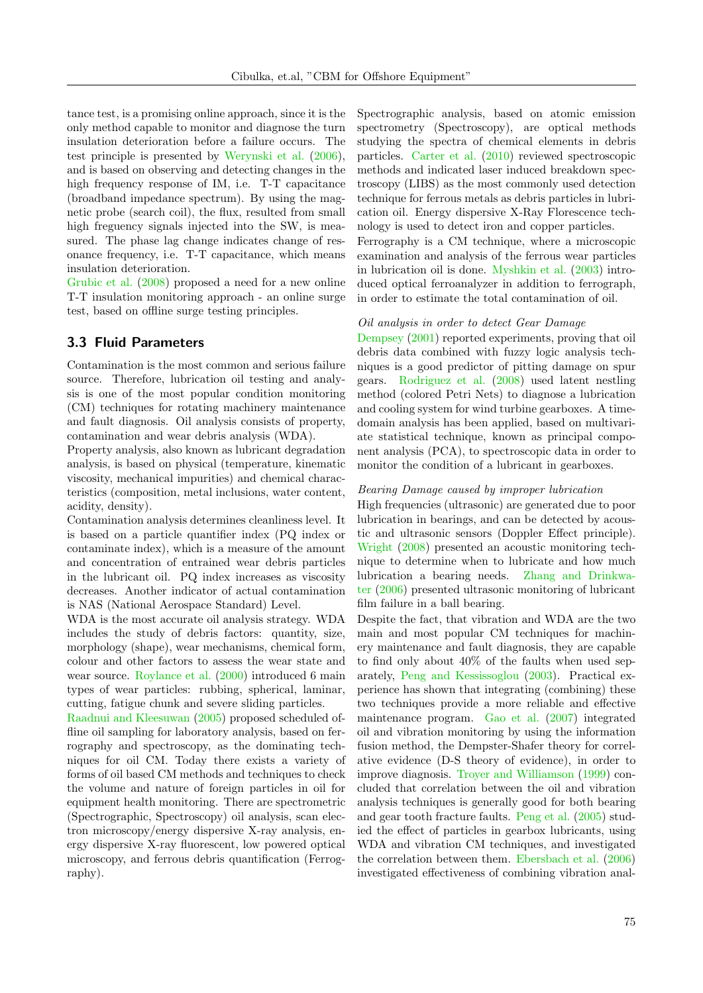tance test, is a promising online approach, since it is the only method capable to monitor and diagnose the turn insulation deterioration before a failure occurs. The test principle is presented by [Werynski et al.](#page-17-4) [\(2006\)](#page-17-4), and is based on observing and detecting changes in the high frequency response of IM, i.e. T-T capacitance (broadband impedance spectrum). By using the magnetic probe (search coil), the flux, resulted from small high freguency signals injected into the SW, is measured. The phase lag change indicates change of resonance frequency, i.e. T-T capacitance, which means insulation deterioration.

[Grubic et al.](#page-13-5) [\(2008\)](#page-13-5) proposed a need for a new online T-T insulation monitoring approach - an online surge test, based on offline surge testing principles.

## <span id="page-6-0"></span>3.3 Fluid Parameters

Contamination is the most common and serious failure source. Therefore, lubrication oil testing and analysis is one of the most popular condition monitoring (CM) techniques for rotating machinery maintenance and fault diagnosis. Oil analysis consists of property, contamination and wear debris analysis (WDA).

Property analysis, also known as lubricant degradation analysis, is based on physical (temperature, kinematic viscosity, mechanical impurities) and chemical characteristics (composition, metal inclusions, water content, acidity, density).

Contamination analysis determines cleanliness level. It is based on a particle quantifier index (PQ index or contaminate index), which is a measure of the amount and concentration of entrained wear debris particles in the lubricant oil. PQ index increases as viscosity decreases. Another indicator of actual contamination is NAS (National Aerospace Standard) Level.

WDA is the most accurate oil analysis strategy. WDA includes the study of debris factors: quantity, size, morphology (shape), wear mechanisms, chemical form, colour and other factors to assess the wear state and wear source. [Roylance et al.](#page-15-8) [\(2000\)](#page-15-8) introduced 6 main types of wear particles: rubbing, spherical, laminar, cutting, fatigue chunk and severe sliding particles.

[Raadnui and Kleesuwan](#page-15-9) [\(2005\)](#page-15-9) proposed scheduled offline oil sampling for laboratory analysis, based on ferrography and spectroscopy, as the dominating techniques for oil CM. Today there exists a variety of forms of oil based CM methods and techniques to check the volume and nature of foreign particles in oil for equipment health monitoring. There are spectrometric (Spectrographic, Spectroscopy) oil analysis, scan electron microscopy/energy dispersive X-ray analysis, energy dispersive X-ray fluorescent, low powered optical microscopy, and ferrous debris quantification (Ferrography).

Spectrographic analysis, based on atomic emission spectrometry (Spectroscopy), are optical methods studying the spectra of chemical elements in debris particles. [Carter et al.](#page-12-5) [\(2010\)](#page-12-5) reviewed spectroscopic methods and indicated laser induced breakdown spectroscopy (LIBS) as the most commonly used detection technique for ferrous metals as debris particles in lubrication oil. Energy dispersive X-Ray Florescence technology is used to detect iron and copper particles.

Ferrography is a CM technique, where a microscopic examination and analysis of the ferrous wear particles in lubrication oil is done. [Myshkin et al.](#page-15-10) [\(2003\)](#page-15-10) introduced optical ferroanalyzer in addition to ferrograph, in order to estimate the total contamination of oil.

#### Oil analysis in order to detect Gear Damage

[Dempsey](#page-13-9) [\(2001\)](#page-13-9) reported experiments, proving that oil debris data combined with fuzzy logic analysis techniques is a good predictor of pitting damage on spur gears. [Rodriguez et al.](#page-15-11) [\(2008\)](#page-15-11) used latent nestling method (colored Petri Nets) to diagnose a lubrication and cooling system for wind turbine gearboxes. A timedomain analysis has been applied, based on multivariate statistical technique, known as principal component analysis (PCA), to spectroscopic data in order to monitor the condition of a lubricant in gearboxes.

#### Bearing Damage caused by improper lubrication

High frequencies (ultrasonic) are generated due to poor lubrication in bearings, and can be detected by acoustic and ultrasonic sensors (Doppler Effect principle). [Wright](#page-17-5) [\(2008\)](#page-17-5) presented an acoustic monitoring technique to determine when to lubricate and how much lubrication a bearing needs. [Zhang and Drinkwa](#page-17-6)[ter](#page-17-6) [\(2006\)](#page-17-6) presented ultrasonic monitoring of lubricant film failure in a ball bearing.

Despite the fact, that vibration and WDA are the two main and most popular CM techniques for machinery maintenance and fault diagnosis, they are capable to find only about 40% of the faults when used separately, [Peng and Kessissoglou](#page-15-12) [\(2003\)](#page-15-12). Practical experience has shown that integrating (combining) these two techniques provide a more reliable and effective maintenance program. [Gao et al.](#page-13-10) [\(2007\)](#page-13-10) integrated oil and vibration monitoring by using the information fusion method, the Dempster-Shafer theory for correlative evidence (D-S theory of evidence), in order to improve diagnosis. [Troyer and Williamson](#page-16-14) [\(1999\)](#page-16-14) concluded that correlation between the oil and vibration analysis techniques is generally good for both bearing and gear tooth fracture faults. [Peng et al.](#page-15-13) [\(2005\)](#page-15-13) studied the effect of particles in gearbox lubricants, using WDA and vibration CM techniques, and investigated the correlation between them. [Ebersbach et al.](#page-13-11) [\(2006\)](#page-13-11) investigated effectiveness of combining vibration anal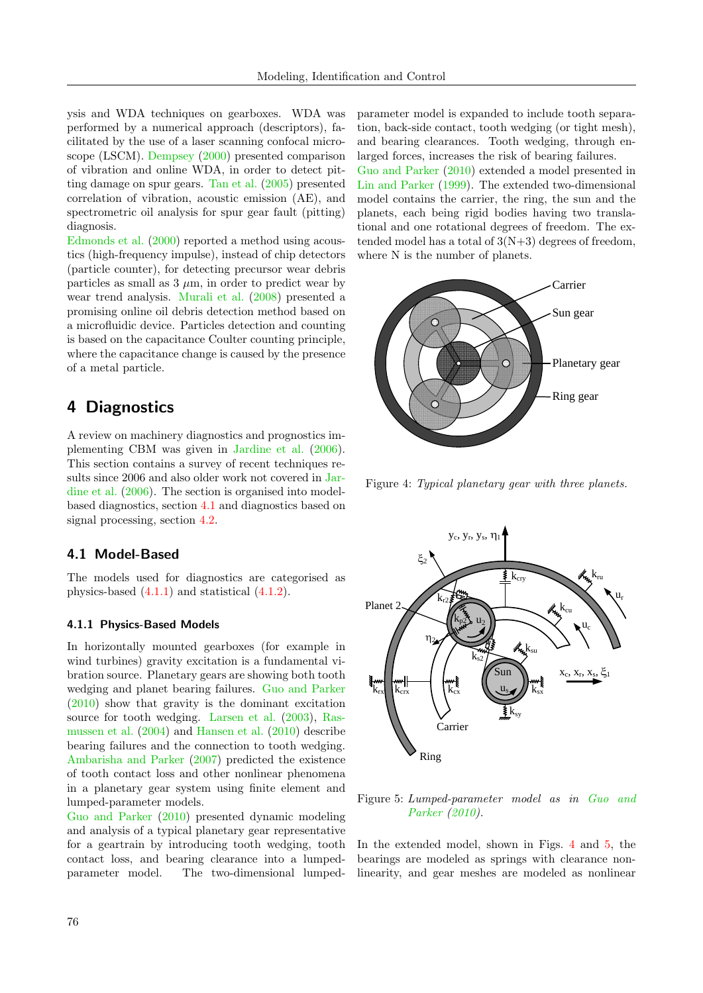ysis and WDA techniques on gearboxes. WDA was performed by a numerical approach (descriptors), facilitated by the use of a laser scanning confocal microscope (LSCM). [Dempsey](#page-13-12) [\(2000\)](#page-13-12) presented comparison of vibration and online WDA, in order to detect pitting damage on spur gears. [Tan et al.](#page-16-15) [\(2005\)](#page-16-15) presented correlation of vibration, acoustic emission (AE), and spectrometric oil analysis for spur gear fault (pitting) diagnosis.

[Edmonds et al.](#page-13-13) [\(2000\)](#page-13-13) reported a method using acoustics (high-frequency impulse), instead of chip detectors (particle counter), for detecting precursor wear debris particles as small as  $3 \mu m$ , in order to predict wear by wear trend analysis. [Murali et al.](#page-15-14) [\(2008\)](#page-15-14) presented a promising online oil debris detection method based on a microfluidic device. Particles detection and counting is based on the capacitance Coulter counting principle, where the capacitance change is caused by the presence of a metal particle.

## <span id="page-7-0"></span>4 Diagnostics

A review on machinery diagnostics and prognostics implementing CBM was given in [Jardine et al.](#page-13-0) [\(2006\)](#page-13-0). This section contains a survey of recent techniques results since 2006 and also older work not covered in [Jar](#page-13-0)[dine et al.](#page-13-0) [\(2006\)](#page-13-0). The section is organised into modelbased diagnostics, section [4.1](#page-7-1) and diagnostics based on signal processing, section [4.2.](#page-9-0)

## <span id="page-7-1"></span>4.1 Model-Based

The models used for diagnostics are categorised as physics-based [\(4.1.1\)](#page-7-2) and statistical [\(4.1.2\)](#page-8-0).

### <span id="page-7-2"></span>4.1.1 Physics-Based Models

In horizontally mounted gearboxes (for example in wind turbines) gravity excitation is a fundamental vibration source. Planetary gears are showing both tooth wedging and planet bearing failures. [Guo and Parker](#page-13-14) [\(2010\)](#page-13-14) show that gravity is the dominant excitation source for tooth wedging. [Larsen et al.](#page-14-11) [\(2003\)](#page-14-11), [Ras](#page-15-15)[mussen et al.](#page-15-15) [\(2004\)](#page-15-15) and [Hansen et al.](#page-13-15) [\(2010\)](#page-13-15) describe bearing failures and the connection to tooth wedging. [Ambarisha and Parker](#page-12-6) [\(2007\)](#page-12-6) predicted the existence of tooth contact loss and other nonlinear phenomena in a planetary gear system using finite element and lumped-parameter models.

[Guo and Parker](#page-13-14) [\(2010\)](#page-13-14) presented dynamic modeling and analysis of a typical planetary gear representative for a geartrain by introducing tooth wedging, tooth contact loss, and bearing clearance into a lumpedparameter model. The two-dimensional lumpedparameter model is expanded to include tooth separation, back-side contact, tooth wedging (or tight mesh), and bearing clearances. Tooth wedging, through enlarged forces, increases the risk of bearing failures. [Guo and Parker](#page-13-14) [\(2010\)](#page-13-14) extended a model presented in [Lin and Parker](#page-14-12) [\(1999\)](#page-14-12). The extended two-dimensional model contains the carrier, the ring, the sun and the planets, each being rigid bodies having two translational and one rotational degrees of freedom. The extended model has a total of  $3(N+3)$  degrees of freedom, where N is the number of planets.



<span id="page-7-3"></span>Figure 4: Typical planetary gear with three planets.



<span id="page-7-4"></span>Figure 5: Lumped-parameter model as in [Guo and](#page-13-14) [Parker](#page-13-14) [\(2010\)](#page-13-14).

In the extended model, shown in Figs. [4](#page-7-3) and [5,](#page-7-4) the *2* linearity, and gear meshes are modeled as nonlinear bearings are modeled as springs with clearance non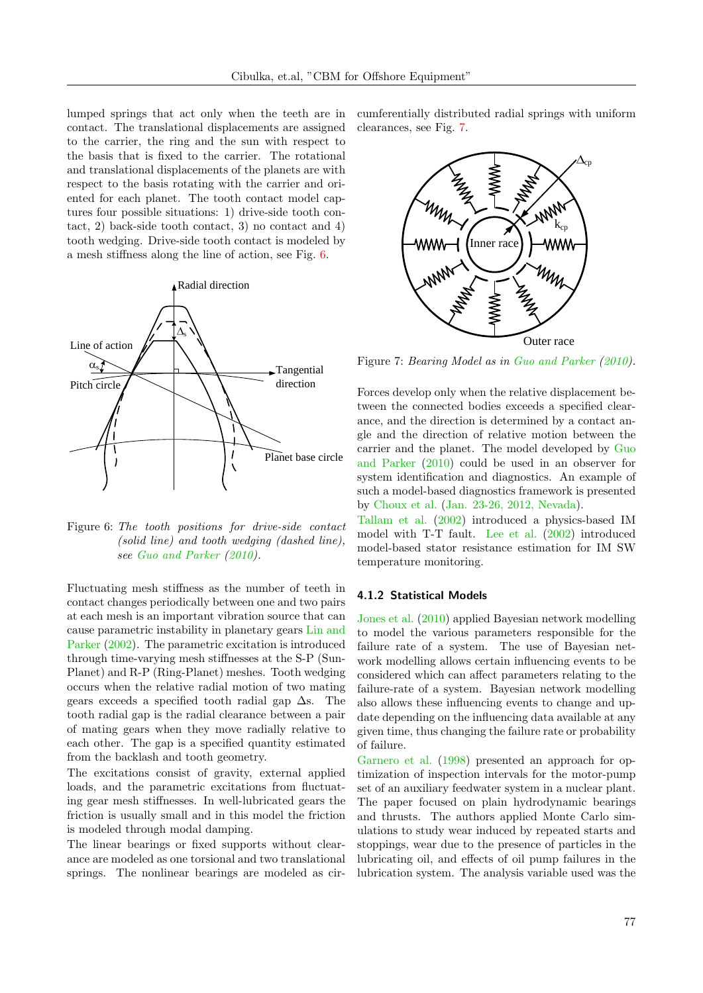lumped springs that act only when the teeth are in contact. The translational displacements are assigned to the carrier, the ring and the sun with respect to the basis that is fixed to the carrier. The rotational and translational displacements of the planets are with respect to the basis rotating with the carrier and oriented for each planet. The tooth contact model captures four possible situations: 1) drive-side tooth contact, 2) back-side tooth contact, 3) no contact and 4) tooth wedging. Drive-side tooth contact is modeled by a mesh stiffness along the line of action, see Fig. [6.](#page-8-1)



<span id="page-8-1"></span>Figure 6: The tooth positions for drive-side contact (solid line) and tooth wedging (dashed line), see [Guo and Parker](#page-13-14) [\(2010\)](#page-13-14).

Fluctuating mesh stiffness as the number of teeth in contact changes periodically between one and two pairs at each mesh is an important vibration source that can cause parametric instability in planetary gears [Lin and](#page-14-13) [Parker](#page-14-13) [\(2002\)](#page-14-13). The parametric excitation is introduced through time-varying mesh stiffnesses at the S-P (Sun-Planet) and R-P (Ring-Planet) meshes. Tooth wedging occurs when the relative radial motion of two mating gears exceeds a specified tooth radial gap  $\Delta$ s. The tooth radial gap is the radial clearance between a pair of mating gears when they move radially relative to each other. The gap is a specified quantity estimated from the backlash and tooth geometry.

The excitations consist of gravity, external applied loads, and the parametric excitations from fluctuating gear mesh stiffnesses. In well-lubricated gears the friction is usually small and in this model the friction is modeled through modal damping.

The linear bearings or fixed supports without clearance are modeled as one torsional and two translational springs. The nonlinear bearings are modeled as circumferentially distributed radial springs with uniform clearances, see Fig. [7.](#page-8-2)



<span id="page-8-2"></span>Figure 7: Bearing Model as in [Guo and Parker](#page-13-14) [\(2010\)](#page-13-14).

Forces develop only when the relative displacement between the connected bodies exceeds a specified clearance, and the direction is determined by a contact angle and the direction of relative motion between the carrier and the planet. The model developed by [Guo](#page-13-14) [and Parker](#page-13-14) [\(2010\)](#page-13-14) could be used in an observer for system identification and diagnostics. An example of such a model-based diagnostics framework is presented by [Choux et al.](#page-13-16) [\(Jan. 23-26, 2012, Nevada\)](#page-13-16).

[Tallam et al.](#page-16-16) [\(2002\)](#page-16-16) introduced a physics-based IM model with T-T fault. [Lee et al.](#page-14-14) [\(2002\)](#page-14-14) introduced model-based stator resistance estimation for IM SW temperature monitoring.

### <span id="page-8-0"></span>4.1.2 Statistical Models

[Jones et al.](#page-14-15) [\(2010\)](#page-14-15) applied Bayesian network modelling to model the various parameters responsible for the failure rate of a system. The use of Bayesian network modelling allows certain influencing events to be considered which can affect parameters relating to the failure-rate of a system. Bayesian network modelling also allows these influencing events to change and update depending on the influencing data available at any given time, thus changing the failure rate or probability of failure.

[Garnero et al.](#page-13-17) [\(1998\)](#page-13-17) presented an approach for optimization of inspection intervals for the motor-pump set of an auxiliary feedwater system in a nuclear plant. The paper focused on plain hydrodynamic bearings and thrusts. The authors applied Monte Carlo simulations to study wear induced by repeated starts and stoppings, wear due to the presence of particles in the lubricating oil, and effects of oil pump failures in the lubrication system. The analysis variable used was the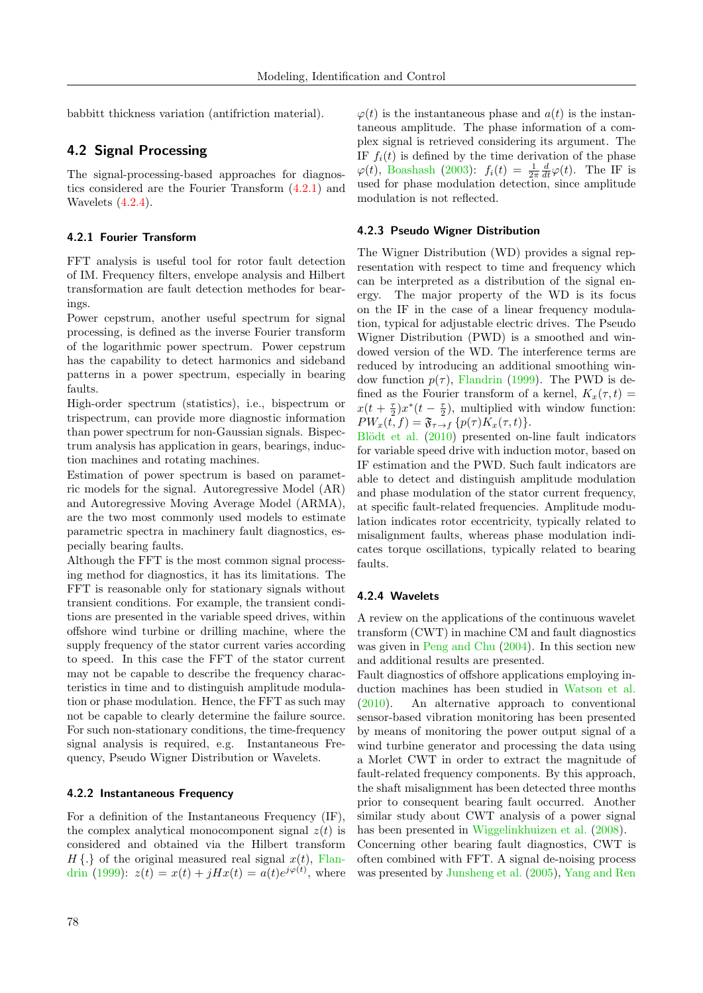babbitt thickness variation (antifriction material).

## <span id="page-9-0"></span>4.2 Signal Processing

The signal-processing-based approaches for diagnostics considered are the Fourier Transform [\(4.2.1\)](#page-9-1) and Wavelets [\(4.2.4\)](#page-9-2).

#### <span id="page-9-1"></span>4.2.1 Fourier Transform

FFT analysis is useful tool for rotor fault detection of IM. Frequency filters, envelope analysis and Hilbert transformation are fault detection methodes for bearings.

Power cepstrum, another useful spectrum for signal processing, is defined as the inverse Fourier transform of the logarithmic power spectrum. Power cepstrum has the capability to detect harmonics and sideband patterns in a power spectrum, especially in bearing faults.

High-order spectrum (statistics), i.e., bispectrum or trispectrum, can provide more diagnostic information than power spectrum for non-Gaussian signals. Bispectrum analysis has application in gears, bearings, induction machines and rotating machines.

Estimation of power spectrum is based on parametric models for the signal. Autoregressive Model (AR) and Autoregressive Moving Average Model (ARMA), are the two most commonly used models to estimate parametric spectra in machinery fault diagnostics, especially bearing faults.

Although the FFT is the most common signal processing method for diagnostics, it has its limitations. The FFT is reasonable only for stationary signals without transient conditions. For example, the transient conditions are presented in the variable speed drives, within offshore wind turbine or drilling machine, where the supply frequency of the stator current varies according to speed. In this case the FFT of the stator current may not be capable to describe the frequency characteristics in time and to distinguish amplitude modulation or phase modulation. Hence, the FFT as such may not be capable to clearly determine the failure source. For such non-stationary conditions, the time-frequency signal analysis is required, e.g. Instantaneous Frequency, Pseudo Wigner Distribution or Wavelets.

### 4.2.2 Instantaneous Frequency

For a definition of the Instantaneous Frequency (IF), the complex analytical monocomponent signal  $z(t)$  is considered and obtained via the Hilbert transform  $H\{\cdot\}$  of the original measured real signal  $x(t)$ , [Flan](#page-13-18)[drin](#page-13-18) [\(1999\)](#page-13-18):  $z(t) = x(t) + jHx(t) = a(t)e^{j\varphi(t)}$ , where

 $\varphi(t)$  is the instantaneous phase and  $a(t)$  is the instantaneous amplitude. The phase information of a complex signal is retrieved considering its argument. The IF  $f_i(t)$  is defined by the time derivation of the phase  $\varphi(t)$ , [Boashash](#page-12-7) [\(2003\)](#page-12-7):  $f_i(t) = \frac{1}{2\pi} \frac{d}{dt} \varphi(t)$ . The IF is used for phase modulation detection, since amplitude modulation is not reflected.

#### 4.2.3 Pseudo Wigner Distribution

The Wigner Distribution (WD) provides a signal representation with respect to time and frequency which can be interpreted as a distribution of the signal energy. The major property of the WD is its focus on the IF in the case of a linear frequency modulation, typical for adjustable electric drives. The Pseudo Wigner Distribution (PWD) is a smoothed and windowed version of the WD. The interference terms are reduced by introducing an additional smoothing window function  $p(\tau)$ , [Flandrin](#page-13-18) [\(1999\)](#page-13-18). The PWD is defined as the Fourier transform of a kernel,  $K_x(\tau, t) =$  $x(t+\frac{\tau}{2})x^*(t-\frac{\tau}{2})$ , multiplied with window function:  $PW_x(t, f) = \mathfrak{F}_{\tau \to f} \{p(\tau)K_x(\tau, t)\}.$ 

Blödt et al. [\(2010\)](#page-12-8) presented on-line fault indicators for variable speed drive with induction motor, based on IF estimation and the PWD. Such fault indicators are able to detect and distinguish amplitude modulation and phase modulation of the stator current frequency, at specific fault-related frequencies. Amplitude modulation indicates rotor eccentricity, typically related to misalignment faults, whereas phase modulation indicates torque oscillations, typically related to bearing faults.

#### <span id="page-9-2"></span>4.2.4 Wavelets

A review on the applications of the continuous wavelet transform (CWT) in machine CM and fault diagnostics was given in [Peng and Chu](#page-15-16) [\(2004\)](#page-15-16). In this section new and additional results are presented.

Fault diagnostics of offshore applications employing induction machines has been studied in [Watson et al.](#page-17-7) [\(2010\)](#page-17-7). An alternative approach to conventional sensor-based vibration monitoring has been presented by means of monitoring the power output signal of a wind turbine generator and processing the data using a Morlet CWT in order to extract the magnitude of fault-related frequency components. By this approach, the shaft misalignment has been detected three months prior to consequent bearing fault occurred. Another similar study about CWT analysis of a power signal has been presented in [Wiggelinkhuizen et al.](#page-17-8) [\(2008\)](#page-17-8).

Concerning other bearing fault diagnostics, CWT is often combined with FFT. A signal de-noising process was presented by [Junsheng et al.](#page-14-16) [\(2005\)](#page-14-16), [Yang and Ren](#page-17-9)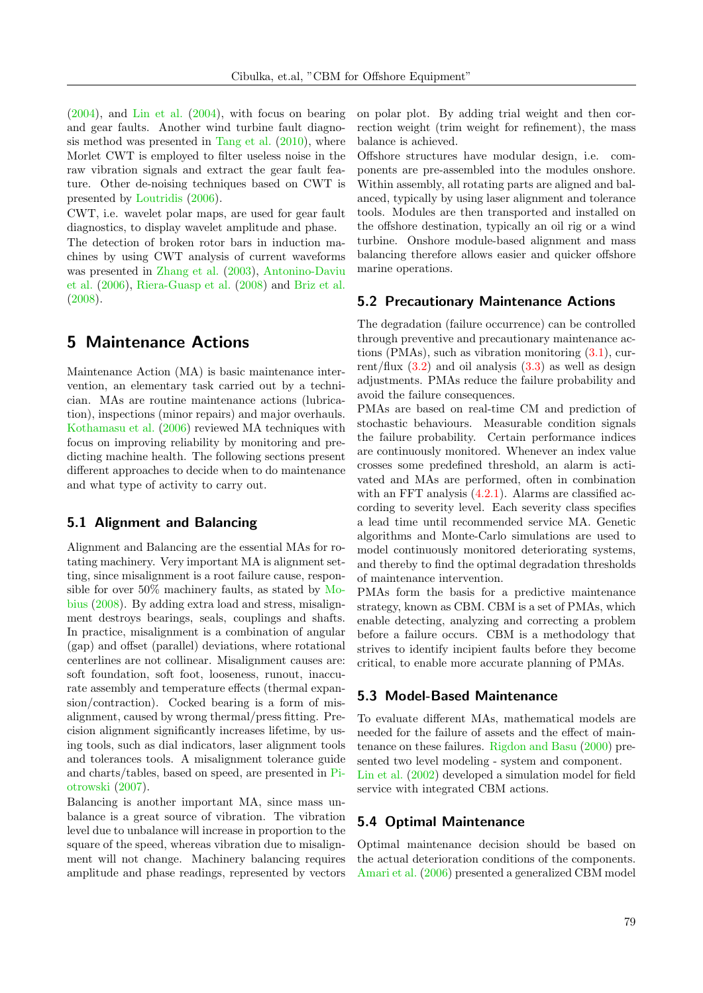[\(2004\)](#page-17-9), and [Lin et al.](#page-14-17) [\(2004\)](#page-14-17), with focus on bearing and gear faults. Another wind turbine fault diagnosis method was presented in [Tang et al.](#page-16-17) [\(2010\)](#page-16-17), where Morlet CWT is employed to filter useless noise in the raw vibration signals and extract the gear fault feature. Other de-noising techniques based on CWT is presented by [Loutridis](#page-14-18) [\(2006\)](#page-14-18).

CWT, i.e. wavelet polar maps, are used for gear fault diagnostics, to display wavelet amplitude and phase.

The detection of broken rotor bars in induction machines by using CWT analysis of current waveforms was presented in [Zhang et al.](#page-17-10) [\(2003\)](#page-17-10), [Antonino-Daviu](#page-12-9) [et al.](#page-12-9) [\(2006\)](#page-12-9), [Riera-Guasp et al.](#page-15-17) [\(2008\)](#page-15-17) and [Briz et al.](#page-12-10) [\(2008\)](#page-12-10).

# <span id="page-10-0"></span>5 Maintenance Actions

Maintenance Action (MA) is basic maintenance intervention, an elementary task carried out by a technician. MAs are routine maintenance actions (lubrication), inspections (minor repairs) and major overhauls. [Kothamasu et al.](#page-14-19) [\(2006\)](#page-14-19) reviewed MA techniques with focus on improving reliability by monitoring and predicting machine health. The following sections present different approaches to decide when to do maintenance and what type of activity to carry out.

## <span id="page-10-1"></span>5.1 Alignment and Balancing

Alignment and Balancing are the essential MAs for rotating machinery. Very important MA is alignment setting, since misalignment is a root failure cause, responsible for over 50% machinery faults, as stated by [Mo](#page-14-20)[bius](#page-14-20) [\(2008\)](#page-14-20). By adding extra load and stress, misalignment destroys bearings, seals, couplings and shafts. In practice, misalignment is a combination of angular (gap) and offset (parallel) deviations, where rotational centerlines are not collinear. Misalignment causes are: soft foundation, soft foot, looseness, runout, inaccurate assembly and temperature effects (thermal expansion/contraction). Cocked bearing is a form of misalignment, caused by wrong thermal/press fitting. Precision alignment significantly increases lifetime, by using tools, such as dial indicators, laser alignment tools and tolerances tools. A misalignment tolerance guide and charts/tables, based on speed, are presented in [Pi](#page-15-18)[otrowski](#page-15-18) [\(2007\)](#page-15-18).

Balancing is another important MA, since mass unbalance is a great source of vibration. The vibration level due to unbalance will increase in proportion to the square of the speed, whereas vibration due to misalignment will not change. Machinery balancing requires amplitude and phase readings, represented by vectors on polar plot. By adding trial weight and then correction weight (trim weight for refinement), the mass balance is achieved.

Offshore structures have modular design, i.e. components are pre-assembled into the modules onshore. Within assembly, all rotating parts are aligned and balanced, typically by using laser alignment and tolerance tools. Modules are then transported and installed on the offshore destination, typically an oil rig or a wind turbine. Onshore module-based alignment and mass balancing therefore allows easier and quicker offshore marine operations.

## 5.2 Precautionary Maintenance Actions

The degradation (failure occurrence) can be controlled through preventive and precautionary maintenance actions (PMAs), such as vibration monitoring [\(3.1\)](#page-5-1), current/flux  $(3.2)$  and oil analysis  $(3.3)$  as well as design adjustments. PMAs reduce the failure probability and avoid the failure consequences.

PMAs are based on real-time CM and prediction of stochastic behaviours. Measurable condition signals the failure probability. Certain performance indices are continuously monitored. Whenever an index value crosses some predefined threshold, an alarm is activated and MAs are performed, often in combination with an FFT analysis  $(4.2.1)$ . Alarms are classified according to severity level. Each severity class specifies a lead time until recommended service MA. Genetic algorithms and Monte-Carlo simulations are used to model continuously monitored deteriorating systems, and thereby to find the optimal degradation thresholds of maintenance intervention.

PMAs form the basis for a predictive maintenance strategy, known as CBM. CBM is a set of PMAs, which enable detecting, analyzing and correcting a problem before a failure occurs. CBM is a methodology that strives to identify incipient faults before they become critical, to enable more accurate planning of PMAs.

## 5.3 Model-Based Maintenance

To evaluate different MAs, mathematical models are needed for the failure of assets and the effect of maintenance on these failures. [Rigdon and Basu](#page-15-19) [\(2000\)](#page-15-19) presented two level modeling - system and component. [Lin et al.](#page-14-21) [\(2002\)](#page-14-21) developed a simulation model for field service with integrated CBM actions.

## 5.4 Optimal Maintenance

Optimal maintenance decision should be based on the actual deterioration conditions of the components. [Amari et al.](#page-12-11) [\(2006\)](#page-12-11) presented a generalized CBM model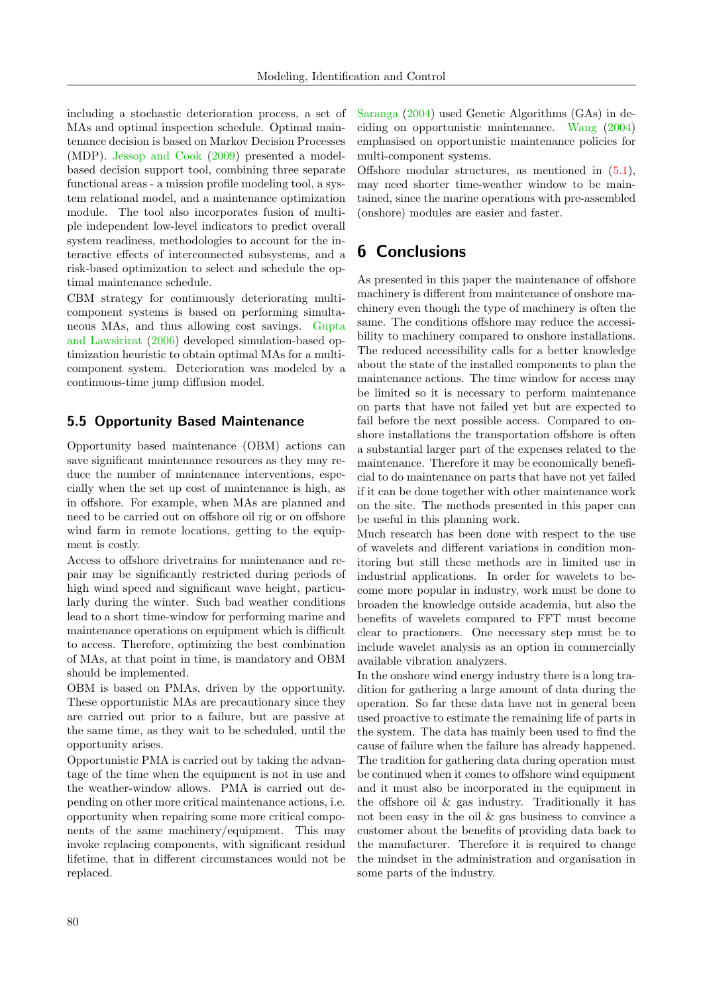including a stochastic deterioration process, a set of MAs and optimal inspection schedule. Optimal maintenance decision is based on Markov Decision Processes (MDP). [Jessop and Cook](#page-13-19) [\(2009\)](#page-13-19) presented a modelbased decision support tool, combining three separate functional areas - a mission profile modeling tool, a system relational model, and a maintenance optimization module. The tool also incorporates fusion of multiple independent low-level indicators to predict overall system readiness, methodologies to account for the interactive effects of interconnected subsystems, and a risk-based optimization to select and schedule the optimal maintenance schedule.

CBM strategy for continuously deteriorating multicomponent systems is based on performing simultaneous MAs, and thus allowing cost savings. [Gupta](#page-13-20) [and Lawsirirat](#page-13-20) [\(2006\)](#page-13-20) developed simulation-based optimization heuristic to obtain optimal MAs for a multicomponent system. Deterioration was modeled by a continuous-time jump diffusion model.

## 5.5 Opportunity Based Maintenance

Opportunity based maintenance (OBM) actions can save significant maintenance resources as they may reduce the number of maintenance interventions, especially when the set up cost of maintenance is high, as in offshore. For example, when MAs are planned and need to be carried out on offshore oil rig or on offshore wind farm in remote locations, getting to the equipment is costly.

Access to offshore drivetrains for maintenance and repair may be significantly restricted during periods of high wind speed and significant wave height, particularly during the winter. Such bad weather conditions lead to a short time-window for performing marine and maintenance operations on equipment which is difficult to access. Therefore, optimizing the best combination of MAs, at that point in time, is mandatory and OBM should be implemented.

OBM is based on PMAs, driven by the opportunity. These opportunistic MAs are precautionary since they are carried out prior to a failure, but are passive at the same time, as they wait to be scheduled, until the opportunity arises.

Opportunistic PMA is carried out by taking the advantage of the time when the equipment is not in use and the weather-window allows. PMA is carried out depending on other more critical maintenance actions, i.e. opportunity when repairing some more critical components of the same machinery/equipment. This may invoke replacing components, with significant residual lifetime, that in different circumstances would not be replaced.

[Saranga](#page-15-20) [\(2004\)](#page-15-20) used Genetic Algorithms (GAs) in deciding on opportunistic maintenance. [Wang](#page-16-18) [\(2004\)](#page-16-18) emphasised on opportunistic maintenance policies for multi-component systems.

Offshore modular structures, as mentioned in  $(5.1)$ , may need shorter time-weather window to be maintained, since the marine operations with pre-assembled (onshore) modules are easier and faster.

## <span id="page-11-0"></span>6 Conclusions

As presented in this paper the maintenance of offshore machinery is different from maintenance of onshore machinery even though the type of machinery is often the same. The conditions offshore may reduce the accessibility to machinery compared to onshore installations. The reduced accessibility calls for a better knowledge about the state of the installed components to plan the maintenance actions. The time window for access may be limited so it is necessary to perform maintenance on parts that have not failed yet but are expected to fail before the next possible access. Compared to onshore installations the transportation offshore is often a substantial larger part of the expenses related to the maintenance. Therefore it may be economically beneficial to do maintenance on parts that have not yet failed if it can be done together with other maintenance work on the site. The methods presented in this paper can be useful in this planning work.

Much research has been done with respect to the use of wavelets and different variations in condition monitoring but still these methods are in limited use in industrial applications. In order for wavelets to become more popular in industry, work must be done to broaden the knowledge outside academia, but also the benefits of wavelets compared to FFT must become clear to practioners. One necessary step must be to include wavelet analysis as an option in commercially available vibration analyzers.

In the onshore wind energy industry there is a long tradition for gathering a large amount of data during the operation. So far these data have not in general been used proactive to estimate the remaining life of parts in the system. The data has mainly been used to find the cause of failure when the failure has already happened. The tradition for gathering data during operation must be continued when it comes to offshore wind equipment and it must also be incorporated in the equipment in the offshore oil & gas industry. Traditionally it has not been easy in the oil & gas business to convince a customer about the benefits of providing data back to the manufacturer. Therefore it is required to change the mindset in the administration and organisation in some parts of the industry.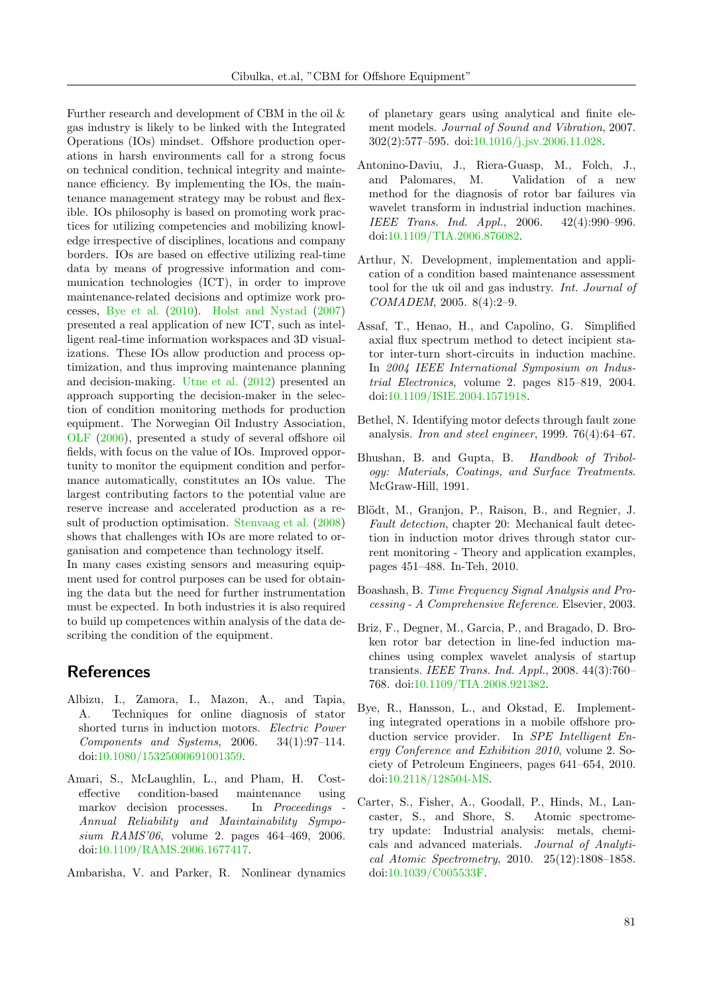Further research and development of CBM in the oil & gas industry is likely to be linked with the Integrated Operations (IOs) mindset. Offshore production operations in harsh environments call for a strong focus on technical condition, technical integrity and maintenance efficiency. By implementing the IOs, the maintenance management strategy may be robust and flexible. IOs philosophy is based on promoting work practices for utilizing competencies and mobilizing knowledge irrespective of disciplines, locations and company borders. IOs are based on effective utilizing real-time data by means of progressive information and communication technologies (ICT), in order to improve maintenance-related decisions and optimize work processes, [Bye et al.](#page-12-12) [\(2010\)](#page-12-12). [Holst and Nystad](#page-13-21) [\(2007\)](#page-13-21) presented a real application of new ICT, such as intelligent real-time information workspaces and 3D visualizations. These IOs allow production and process optimization, and thus improving maintenance planning and decision-making. [Utne et al.](#page-16-19) [\(2012\)](#page-16-19) presented an approach supporting the decision-maker in the selection of condition monitoring methods for production equipment. The Norwegian Oil Industry Association, [OLF](#page-15-21) [\(2006\)](#page-15-21), presented a study of several offshore oil fields, with focus on the value of IOs. Improved opportunity to monitor the equipment condition and performance automatically, constitutes an IOs value. The largest contributing factors to the potential value are reserve increase and accelerated production as a result of production optimisation. [Stenvaag et al.](#page-16-20) [\(2008\)](#page-16-20) shows that challenges with IOs are more related to organisation and competence than technology itself. In many cases existing sensors and measuring equip-

ment used for control purposes can be used for obtaining the data but the need for further instrumentation must be expected. In both industries it is also required to build up competences within analysis of the data describing the condition of the equipment.

# **References**

- <span id="page-12-3"></span>Albizu, I., Zamora, I., Mazon, A., and Tapia, A. Techniques for online diagnosis of stator shorted turns in induction motors. Electric Power Components and Systems, 2006. 34(1):97–114. doi[:10.1080/15325000691001359.](http://dx.doi.org/10.1080/15325000691001359)
- <span id="page-12-11"></span>Amari, S., McLaughlin, L., and Pham, H. Costeffective condition-based maintenance using markov decision processes. In Proceedings Annual Reliability and Maintainability Symposium RAMS'06, volume 2. pages 464–469, 2006. doi[:10.1109/RAMS.2006.1677417.](http://dx.doi.org/10.1109/RAMS.2006.1677417)
- <span id="page-12-6"></span>Ambarisha, V. and Parker, R. Nonlinear dynamics

of planetary gears using analytical and finite element models. Journal of Sound and Vibration, 2007. 302(2):577–595. doi[:10.1016/j.jsv.2006.11.028.](http://dx.doi.org/10.1016/j.jsv.2006.11.028)

- <span id="page-12-9"></span>Antonino-Daviu, J., Riera-Guasp, M., Folch, J., and Palomares, M. Validation of a new method for the diagnosis of rotor bar failures via wavelet transform in industrial induction machines. IEEE Trans. Ind. Appl., 2006. 42(4):990–996. doi[:10.1109/TIA.2006.876082.](http://dx.doi.org/10.1109/TIA.2006.876082)
- <span id="page-12-0"></span>Arthur, N. Development, implementation and application of a condition based maintenance assessment tool for the uk oil and gas industry. Int. Journal of COMADEM, 2005. 8(4):2–9.
- <span id="page-12-4"></span>Assaf, T., Henao, H., and Capolino, G. Simplified axial flux spectrum method to detect incipient stator inter-turn short-circuits in induction machine. In 2004 IEEE International Symposium on Industrial Electronics, volume 2. pages 815–819, 2004. doi[:10.1109/ISIE.2004.1571918.](http://dx.doi.org/10.1109/ISIE.2004.1571918)
- <span id="page-12-2"></span>Bethel, N. Identifying motor defects through fault zone analysis. Iron and steel engineer, 1999. 76(4):64–67.
- <span id="page-12-1"></span>Bhushan, B. and Gupta, B. Handbook of Tribology: Materials, Coatings, and Surface Treatments. McGraw-Hill, 1991.
- <span id="page-12-8"></span>Blödt, M., Granjon, P., Raison, B., and Regnier, J. Fault detection, chapter 20: Mechanical fault detection in induction motor drives through stator current monitoring - Theory and application examples, pages 451–488. In-Teh, 2010.
- <span id="page-12-7"></span>Boashash, B. Time Frequency Signal Analysis and Processing - A Comprehensive Reference. Elsevier, 2003.
- <span id="page-12-10"></span>Briz, F., Degner, M., Garcia, P., and Bragado, D. Broken rotor bar detection in line-fed induction machines using complex wavelet analysis of startup transients. IEEE Trans. Ind. Appl., 2008. 44(3):760– 768. doi[:10.1109/TIA.2008.921382.](http://dx.doi.org/10.1109/TIA.2008.921382)
- <span id="page-12-12"></span>Bye, R., Hansson, L., and Okstad, E. Implementing integrated operations in a mobile offshore production service provider. In SPE Intelligent Energy Conference and Exhibition 2010, volume 2. Society of Petroleum Engineers, pages 641–654, 2010. doi[:10.2118/128504-MS.](http://dx.doi.org/10.2118/128504-MS)
- <span id="page-12-5"></span>Carter, S., Fisher, A., Goodall, P., Hinds, M., Lancaster, S., and Shore, S. Atomic spectrometry update: Industrial analysis: metals, chemicals and advanced materials. Journal of Analytical Atomic Spectrometry, 2010. 25(12):1808–1858. doi[:10.1039/C005533F.](http://dx.doi.org/10.1039/C005533F)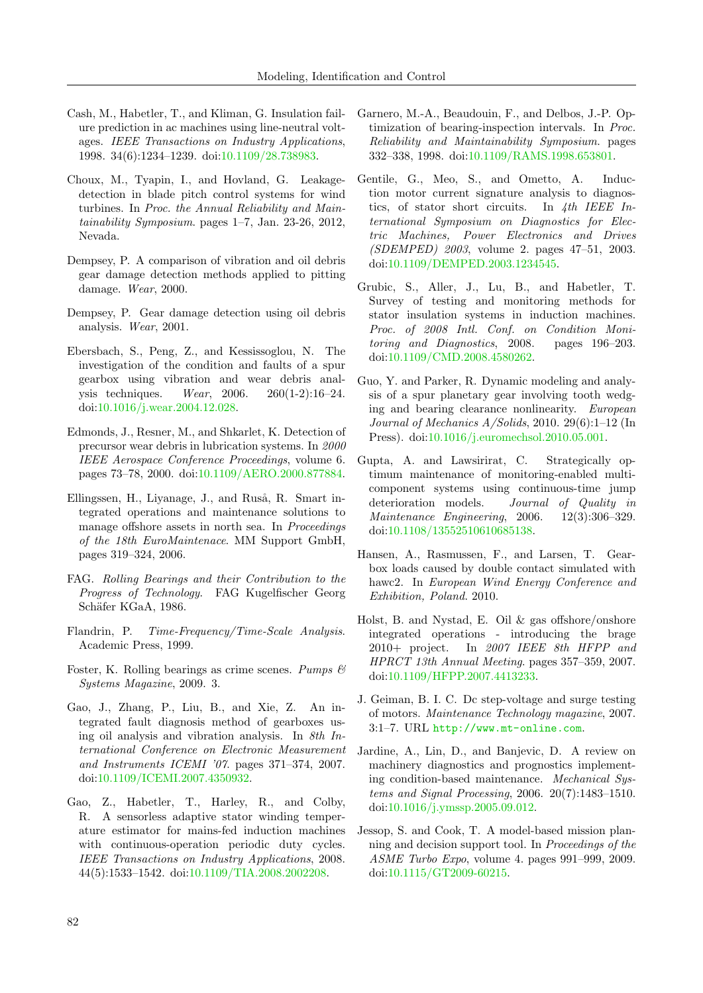- <span id="page-13-7"></span>Cash, M., Habetler, T., and Kliman, G. Insulation failure prediction in ac machines using line-neutral voltages. IEEE Transactions on Industry Applications, 1998. 34(6):1234–1239. doi[:10.1109/28.738983.](http://dx.doi.org/10.1109/28.738983)
- <span id="page-13-16"></span>Choux, M., Tyapin, I., and Hovland, G. Leakagedetection in blade pitch control systems for wind turbines. In Proc. the Annual Reliability and Maintainability Symposium. pages 1–7, Jan. 23-26, 2012, Nevada.
- <span id="page-13-12"></span>Dempsey, P. A comparison of vibration and oil debris gear damage detection methods applied to pitting damage. Wear, 2000.
- <span id="page-13-9"></span>Dempsey, P. Gear damage detection using oil debris analysis. Wear, 2001.
- <span id="page-13-11"></span>Ebersbach, S., Peng, Z., and Kessissoglou, N. The investigation of the condition and faults of a spur gearbox using vibration and wear debris analysis techniques. Wear, 2006. 260(1-2):16–24. doi[:10.1016/j.wear.2004.12.028.](http://dx.doi.org/10.1016/j.wear.2004.12.028)
- <span id="page-13-13"></span>Edmonds, J., Resner, M., and Shkarlet, K. Detection of precursor wear debris in lubrication systems. In 2000 IEEE Aerospace Conference Proceedings, volume 6. pages 73–78, 2000. doi[:10.1109/AERO.2000.877884.](http://dx.doi.org/10.1109/AERO.2000.877884)
- <span id="page-13-4"></span>Ellingssen, H., Liyanage, J., and Ruså, R. Smart integrated operations and maintenance solutions to manage offshore assets in north sea. In Proceedings of the 18th EuroMaintenace. MM Support GmbH, pages 319–324, 2006.
- <span id="page-13-1"></span>FAG. Rolling Bearings and their Contribution to the Progress of Technology. FAG Kugelfischer Georg Schäfer KGaA, 1986.
- <span id="page-13-18"></span>Flandrin, P. Time-Frequency/Time-Scale Analysis. Academic Press, 1999.
- <span id="page-13-2"></span>Foster, K. Rolling bearings as crime scenes. Pumps  $\mathcal{B}$ Systems Magazine, 2009. 3.
- <span id="page-13-10"></span>Gao, J., Zhang, P., Liu, B., and Xie, Z. An integrated fault diagnosis method of gearboxes using oil analysis and vibration analysis. In 8th International Conference on Electronic Measurement and Instruments ICEMI '07. pages 371–374, 2007. doi[:10.1109/ICEMI.2007.4350932.](http://dx.doi.org/10.1109/ICEMI.2007.4350932)
- <span id="page-13-6"></span>Gao, Z., Habetler, T., Harley, R., and Colby, R. A sensorless adaptive stator winding temperature estimator for mains-fed induction machines with continuous-operation periodic duty cycles. IEEE Transactions on Industry Applications, 2008. 44(5):1533–1542. doi[:10.1109/TIA.2008.2002208.](http://dx.doi.org/10.1109/TIA.2008.2002208)
- <span id="page-13-17"></span>Garnero, M.-A., Beaudouin, F., and Delbos, J.-P. Optimization of bearing-inspection intervals. In Proc. Reliability and Maintainability Symposium. pages 332–338, 1998. doi[:10.1109/RAMS.1998.653801.](http://dx.doi.org/10.1109/RAMS.1998.653801)
- <span id="page-13-8"></span>Gentile, G., Meo, S., and Ometto, A. Induction motor current signature analysis to diagnostics, of stator short circuits. In 4th IEEE International Symposium on Diagnostics for Electric Machines, Power Electronics and Drives (SDEMPED) 2003, volume 2. pages 47–51, 2003. doi[:10.1109/DEMPED.2003.1234545.](http://dx.doi.org/10.1109/DEMPED.2003.1234545)
- <span id="page-13-5"></span>Grubic, S., Aller, J., Lu, B., and Habetler, T. Survey of testing and monitoring methods for stator insulation systems in induction machines. Proc. of 2008 Intl. Conf. on Condition Monitoring and Diagnostics, 2008. pages 196–203. doi[:10.1109/CMD.2008.4580262.](http://dx.doi.org/10.1109/CMD.2008.4580262)
- <span id="page-13-14"></span>Guo, Y. and Parker, R. Dynamic modeling and analysis of a spur planetary gear involving tooth wedging and bearing clearance nonlinearity. European Journal of Mechanics A/Solids, 2010. 29(6):1–12 (In Press). doi[:10.1016/j.euromechsol.2010.05.001.](http://dx.doi.org/10.1016/j.euromechsol.2010.05.001)
- <span id="page-13-20"></span>Gupta, A. and Lawsirirat, C. Strategically optimum maintenance of monitoring-enabled multicomponent systems using continuous-time jump deterioration models. Journal of Quality in Maintenance Engineering, 2006. 12(3):306–329. doi[:10.1108/13552510610685138.](http://dx.doi.org/10.1108/13552510610685138)
- <span id="page-13-15"></span>Hansen, A., Rasmussen, F., and Larsen, T. Gearbox loads caused by double contact simulated with hawc2. In European Wind Energy Conference and Exhibition, Poland. 2010.
- <span id="page-13-21"></span>Holst, B. and Nystad, E. Oil & gas offshore/onshore integrated operations - introducing the brage 2010+ project. In 2007 IEEE 8th HFPP and HPRCT 13th Annual Meeting. pages 357–359, 2007. doi[:10.1109/HFPP.2007.4413233.](http://dx.doi.org/10.1109/HFPP.2007.4413233)
- <span id="page-13-3"></span>J. Geiman, B. I. C. Dc step-voltage and surge testing of motors. Maintenance Technology magazine, 2007. 3:1–7. URL <http://www.mt-online.com>.
- <span id="page-13-0"></span>Jardine, A., Lin, D., and Banjevic, D. A review on machinery diagnostics and prognostics implementing condition-based maintenance. Mechanical Systems and Signal Processing, 2006. 20(7):1483–1510. doi[:10.1016/j.ymssp.2005.09.012.](http://dx.doi.org/10.1016/j.ymssp.2005.09.012)
- <span id="page-13-19"></span>Jessop, S. and Cook, T. A model-based mission planning and decision support tool. In Proceedings of the ASME Turbo Expo, volume 4. pages 991–999, 2009. doi[:10.1115/GT2009-60215.](http://dx.doi.org/10.1115/GT2009-60215)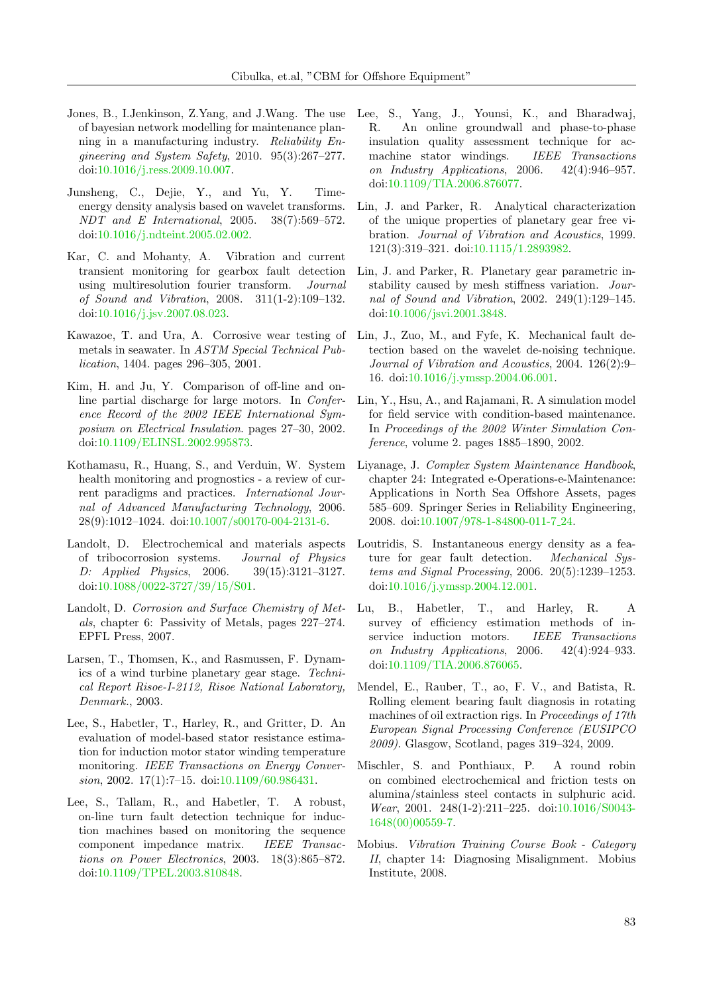- <span id="page-14-15"></span>Jones, B., I.Jenkinson, Z.Yang, and J.Wang. The use of bayesian network modelling for maintenance planning in a manufacturing industry. Reliability Engineering and System Safety, 2010. 95(3):267–277. doi[:10.1016/j.ress.2009.10.007.](http://dx.doi.org/10.1016/j.ress.2009.10.007)
- <span id="page-14-16"></span>Junsheng, C., Dejie, Y., and Yu, Y. Timeenergy density analysis based on wavelet transforms. NDT and E International, 2005. 38(7):569–572. doi[:10.1016/j.ndteint.2005.02.002.](http://dx.doi.org/10.1016/j.ndteint.2005.02.002)
- <span id="page-14-0"></span>Kar, C. and Mohanty, A. Vibration and current transient monitoring for gearbox fault detection using multiresolution fourier transform. Journal of Sound and Vibration, 2008. 311(1-2):109–132. doi[:10.1016/j.jsv.2007.08.023.](http://dx.doi.org/10.1016/j.jsv.2007.08.023)
- <span id="page-14-4"></span>Kawazoe, T. and Ura, A. Corrosive wear testing of metals in seawater. In ASTM Special Technical Publication, 1404. pages 296–305, 2001.
- <span id="page-14-7"></span>Kim, H. and Ju, Y. Comparison of off-line and online partial discharge for large motors. In Conference Record of the 2002 IEEE International Symposium on Electrical Insulation. pages 27–30, 2002. doi[:10.1109/ELINSL.2002.995873.](http://dx.doi.org/10.1109/ELINSL.2002.995873)
- <span id="page-14-19"></span>Kothamasu, R., Huang, S., and Verduin, W. System health monitoring and prognostics - a review of current paradigms and practices. International Journal of Advanced Manufacturing Technology, 2006. 28(9):1012–1024. doi[:10.1007/s00170-004-2131-6.](http://dx.doi.org/10.1007/s00170-004-2131-6)
- <span id="page-14-1"></span>Landolt, D. Electrochemical and materials aspects of tribocorrosion systems. Journal of Physics D: Applied Physics, 2006. 39(15):3121–3127. doi[:10.1088/0022-3727/39/15/S01.](http://dx.doi.org/10.1088/0022-3727/39/15/S01)
- <span id="page-14-2"></span>Landolt, D. Corrosion and Surface Chemistry of Metals, chapter 6: Passivity of Metals, pages 227–274. EPFL Press, 2007.
- <span id="page-14-11"></span>Larsen, T., Thomsen, K., and Rasmussen, F. Dynamics of a wind turbine planetary gear stage. Technical Report Risoe-I-2112, Risoe National Laboratory, Denmark., 2003.
- <span id="page-14-14"></span>Lee, S., Habetler, T., Harley, R., and Gritter, D. An evaluation of model-based stator resistance estimation for induction motor stator winding temperature monitoring. IEEE Transactions on Energy Conversion, 2002. 17(1):7–15. doi[:10.1109/60.986431.](http://dx.doi.org/10.1109/60.986431)
- <span id="page-14-10"></span>Lee, S., Tallam, R., and Habetler, T. A robust, on-line turn fault detection technique for induction machines based on monitoring the sequence component impedance matrix. IEEE Transactions on Power Electronics, 2003. 18(3):865–872. doi[:10.1109/TPEL.2003.810848.](http://dx.doi.org/10.1109/TPEL.2003.810848)
- <span id="page-14-9"></span>Lee, S., Yang, J., Younsi, K., and Bharadwaj, R. An online groundwall and phase-to-phase insulation quality assessment technique for acmachine stator windings. IEEE Transactions on Industry Applications, 2006. 42(4):946–957. doi[:10.1109/TIA.2006.876077.](http://dx.doi.org/10.1109/TIA.2006.876077)
- <span id="page-14-12"></span>Lin, J. and Parker, R. Analytical characterization of the unique properties of planetary gear free vibration. Journal of Vibration and Acoustics, 1999. 121(3):319–321. doi[:10.1115/1.2893982.](http://dx.doi.org/10.1115/1.2893982)
- <span id="page-14-13"></span>Lin, J. and Parker, R. Planetary gear parametric instability caused by mesh stiffness variation. Journal of Sound and Vibration, 2002. 249(1):129–145. doi[:10.1006/jsvi.2001.3848.](http://dx.doi.org/10.1006/jsvi.2001.3848)
- <span id="page-14-17"></span>Lin, J., Zuo, M., and Fyfe, K. Mechanical fault detection based on the wavelet de-noising technique. Journal of Vibration and Acoustics, 2004. 126(2):9– 16. doi[:10.1016/j.ymssp.2004.06.001.](http://dx.doi.org/10.1016/j.ymssp.2004.06.001)
- <span id="page-14-21"></span>Lin, Y., Hsu, A., and Rajamani, R. A simulation model for field service with condition-based maintenance. In Proceedings of the 2002 Winter Simulation Conference, volume 2. pages 1885–1890, 2002.
- <span id="page-14-6"></span>Liyanage, J. Complex System Maintenance Handbook, chapter 24: Integrated e-Operations-e-Maintenance: Applications in North Sea Offshore Assets, pages 585–609. Springer Series in Reliability Engineering, 2008. doi[:10.1007/978-1-84800-011-7](http://dx.doi.org/10.1007/978-1-84800-011-7_24) 24.
- <span id="page-14-18"></span>Loutridis, S. Instantaneous energy density as a feature for gear fault detection. Mechanical Systems and Signal Processing, 2006. 20(5):1239–1253. doi[:10.1016/j.ymssp.2004.12.001.](http://dx.doi.org/10.1016/j.ymssp.2004.12.001)
- <span id="page-14-8"></span>Lu, B., Habetler, T., and Harley, R. A survey of efficiency estimation methods of inservice induction motors. IEEE Transactions on Industry Applications, 2006. 42(4):924–933. doi[:10.1109/TIA.2006.876065.](http://dx.doi.org/10.1109/TIA.2006.876065)
- <span id="page-14-5"></span>Mendel, E., Rauber, T., ao, F. V., and Batista, R. Rolling element bearing fault diagnosis in rotating machines of oil extraction rigs. In Proceedings of 17th European Signal Processing Conference (EUSIPCO 2009). Glasgow, Scotland, pages 319–324, 2009.
- <span id="page-14-3"></span>Mischler, S. and Ponthiaux, P. A round robin on combined electrochemical and friction tests on alumina/stainless steel contacts in sulphuric acid. Wear, 2001. 248(1-2):211–225. doi[:10.1016/S0043-](http://dx.doi.org/10.1016/S0043-1648(00)00559-7) [1648\(00\)00559-7.](http://dx.doi.org/10.1016/S0043-1648(00)00559-7)
- <span id="page-14-20"></span>Mobius. Vibration Training Course Book - Category II, chapter 14: Diagnosing Misalignment. Mobius Institute, 2008.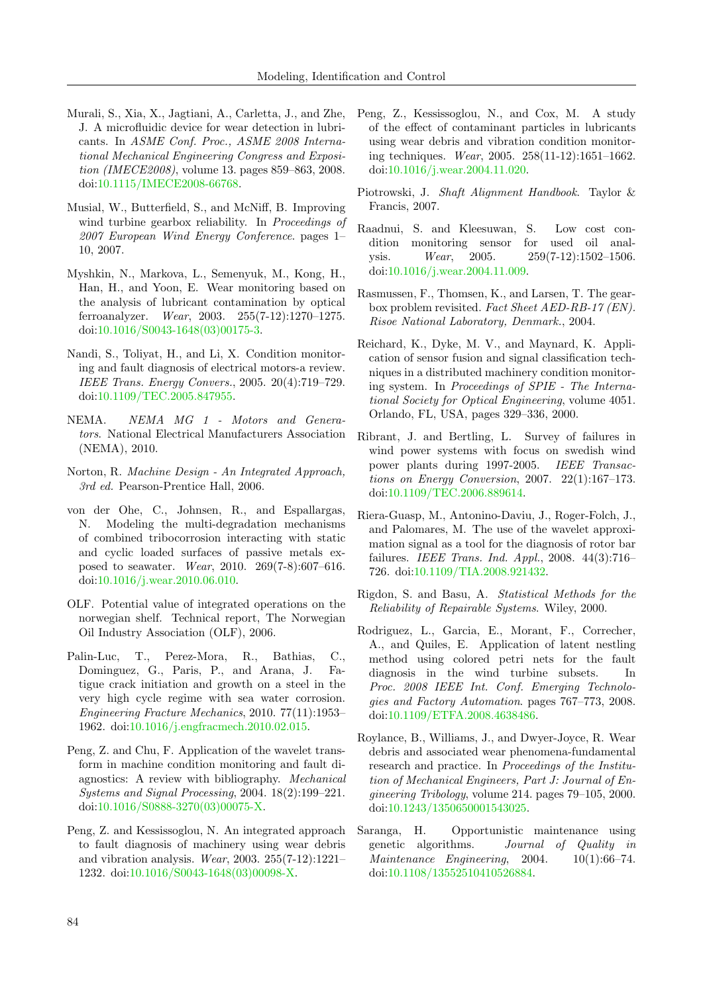- <span id="page-15-14"></span>Murali, S., Xia, X., Jagtiani, A., Carletta, J., and Zhe, J. A microfluidic device for wear detection in lubricants. In ASME Conf. Proc., ASME 2008 International Mechanical Engineering Congress and Exposition (IMECE2008), volume 13. pages 859–863, 2008. doi[:10.1115/IMECE2008-66768.](http://dx.doi.org/10.1115/IMECE2008-66768)
- <span id="page-15-2"></span>Musial, W., Butterfield, S., and McNiff, B. Improving wind turbine gearbox reliability. In Proceedings of 2007 European Wind Energy Conference. pages 1– 10, 2007.
- <span id="page-15-10"></span>Myshkin, N., Markova, L., Semenyuk, M., Kong, H., Han, H., and Yoon, E. Wear monitoring based on the analysis of lubricant contamination by optical ferroanalyzer. Wear, 2003. 255(7-12):1270–1275. doi[:10.1016/S0043-1648\(03\)00175-3.](http://dx.doi.org/10.1016/S0043-1648(03)00175-3)
- <span id="page-15-6"></span>Nandi, S., Toliyat, H., and Li, X. Condition monitoring and fault diagnosis of electrical motors-a review. IEEE Trans. Energy Convers., 2005. 20(4):719–729. doi[:10.1109/TEC.2005.847955.](http://dx.doi.org/10.1109/TEC.2005.847955)
- <span id="page-15-5"></span>NEMA. NEMA MG 1 - Motors and Generators. National Electrical Manufacturers Association (NEMA), 2010.
- <span id="page-15-3"></span>Norton, R. Machine Design - An Integrated Approach, 3rd ed. Pearson-Prentice Hall, 2006.
- <span id="page-15-4"></span>von der Ohe, C., Johnsen, R., and Espallargas, N. Modeling the multi-degradation mechanisms of combined tribocorrosion interacting with static and cyclic loaded surfaces of passive metals exposed to seawater. Wear, 2010. 269(7-8):607–616. doi[:10.1016/j.wear.2010.06.010.](http://dx.doi.org/10.1016/j.wear.2010.06.010)
- <span id="page-15-21"></span>OLF. Potential value of integrated operations on the norwegian shelf. Technical report, The Norwegian Oil Industry Association (OLF), 2006.
- <span id="page-15-0"></span>Palin-Luc, T., Perez-Mora, R., Bathias, C., Dominguez, G., Paris, P., and Arana, J. Fatigue crack initiation and growth on a steel in the very high cycle regime with sea water corrosion. Engineering Fracture Mechanics, 2010. 77(11):1953– 1962. doi[:10.1016/j.engfracmech.2010.02.015.](http://dx.doi.org/10.1016/j.engfracmech.2010.02.015)
- <span id="page-15-16"></span>Peng, Z. and Chu, F. Application of the wavelet transform in machine condition monitoring and fault diagnostics: A review with bibliography. Mechanical Systems and Signal Processing, 2004. 18(2):199–221. doi[:10.1016/S0888-3270\(03\)00075-X.](http://dx.doi.org/10.1016/S0888-3270(03)00075-X)
- <span id="page-15-12"></span>Peng, Z. and Kessissoglou, N. An integrated approach to fault diagnosis of machinery using wear debris and vibration analysis. Wear, 2003. 255(7-12):1221– 1232. doi[:10.1016/S0043-1648\(03\)00098-X.](http://dx.doi.org/10.1016/S0043-1648(03)00098-X)
- <span id="page-15-13"></span>Peng, Z., Kessissoglou, N., and Cox, M. A study of the effect of contaminant particles in lubricants using wear debris and vibration condition monitoring techniques. Wear, 2005. 258(11-12):1651–1662. doi[:10.1016/j.wear.2004.11.020.](http://dx.doi.org/10.1016/j.wear.2004.11.020)
- <span id="page-15-18"></span>Piotrowski, J. Shaft Alignment Handbook. Taylor & Francis, 2007.
- <span id="page-15-9"></span>Raadnui, S. and Kleesuwan, S. Low cost condition monitoring sensor for used oil analysis. *Wear*, 2005. 259(7-12):1502-1506. doi[:10.1016/j.wear.2004.11.009.](http://dx.doi.org/10.1016/j.wear.2004.11.009)
- <span id="page-15-15"></span>Rasmussen, F., Thomsen, K., and Larsen, T. The gearbox problem revisited. Fact Sheet AED-RB-17 (EN). Risoe National Laboratory, Denmark., 2004.
- <span id="page-15-7"></span>Reichard, K., Dyke, M. V., and Maynard, K. Application of sensor fusion and signal classification techniques in a distributed machinery condition monitoring system. In Proceedings of SPIE - The International Society for Optical Engineering, volume 4051. Orlando, FL, USA, pages 329–336, 2000.
- <span id="page-15-1"></span>Ribrant, J. and Bertling, L. Survey of failures in wind power systems with focus on swedish wind power plants during 1997-2005. IEEE Transactions on Energy Conversion, 2007. 22(1):167–173. doi[:10.1109/TEC.2006.889614.](http://dx.doi.org/10.1109/TEC.2006.889614)
- <span id="page-15-17"></span>Riera-Guasp, M., Antonino-Daviu, J., Roger-Folch, J., and Palomares, M. The use of the wavelet approximation signal as a tool for the diagnosis of rotor bar failures. IEEE Trans. Ind. Appl., 2008. 44(3):716– 726. doi[:10.1109/TIA.2008.921432.](http://dx.doi.org/10.1109/TIA.2008.921432)
- <span id="page-15-19"></span>Rigdon, S. and Basu, A. Statistical Methods for the Reliability of Repairable Systems. Wiley, 2000.
- <span id="page-15-11"></span>Rodriguez, L., Garcia, E., Morant, F., Correcher, A., and Quiles, E. Application of latent nestling method using colored petri nets for the fault diagnosis in the wind turbine subsets. In Proc. 2008 IEEE Int. Conf. Emerging Technologies and Factory Automation. pages 767–773, 2008. doi[:10.1109/ETFA.2008.4638486.](http://dx.doi.org/10.1109/ETFA.2008.4638486)
- <span id="page-15-8"></span>Roylance, B., Williams, J., and Dwyer-Joyce, R. Wear debris and associated wear phenomena-fundamental research and practice. In Proceedings of the Institution of Mechanical Engineers, Part J: Journal of Engineering Tribology, volume 214. pages 79–105, 2000. doi[:10.1243/1350650001543025.](http://dx.doi.org/10.1243/1350650001543025)
- <span id="page-15-20"></span>Saranga, H. Opportunistic maintenance using genetic algorithms. Journal of Quality in Maintenance Engineering, 2004.  $10(1):66-74$ . doi[:10.1108/13552510410526884.](http://dx.doi.org/10.1108/13552510410526884)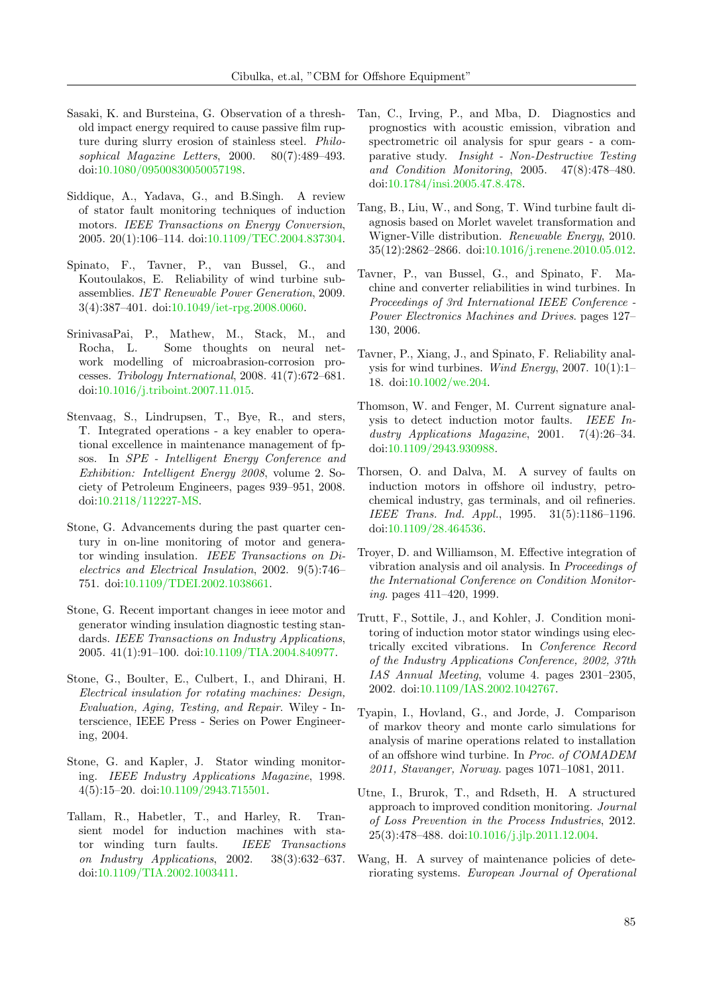- <span id="page-16-4"></span>Sasaki, K. and Bursteina, G. Observation of a threshold impact energy required to cause passive film rupture during slurry erosion of stainless steel. Philosophical Magazine Letters, 2000. 80(7):489–493. doi[:10.1080/09500830050057198.](http://dx.doi.org/10.1080/09500830050057198)
- <span id="page-16-9"></span>Siddique, A., Yadava, G., and B.Singh. A review of stator fault monitoring techniques of induction motors. IEEE Transactions on Energy Conversion, 2005. 20(1):106–114. doi[:10.1109/TEC.2004.837304.](http://dx.doi.org/10.1109/TEC.2004.837304)
- <span id="page-16-3"></span>Spinato, F., Tavner, P., van Bussel, G., and Koutoulakos, E. Reliability of wind turbine subassemblies. IET Renewable Power Generation, 2009. 3(4):387–401. doi[:10.1049/iet-rpg.2008.0060.](http://dx.doi.org/10.1049/iet-rpg.2008.0060)
- <span id="page-16-5"></span>SrinivasaPai, P., Mathew, M., Stack, M., and Rocha, L. Some thoughts on neural network modelling of microabrasion-corrosion processes. Tribology International, 2008. 41(7):672–681. doi[:10.1016/j.triboint.2007.11.015.](http://dx.doi.org/10.1016/j.triboint.2007.11.015)
- <span id="page-16-20"></span>Stenvaag, S., Lindrupsen, T., Bye, R., and sters, T. Integrated operations - a key enabler to operational excellence in maintenance management of fpsos. In SPE - Intelligent Energy Conference and Exhibition: Intelligent Energy 2008, volume 2. Society of Petroleum Engineers, pages 939–951, 2008. doi[:10.2118/112227-MS.](http://dx.doi.org/10.2118/112227-MS)
- <span id="page-16-11"></span>Stone, G. Advancements during the past quarter century in on-line monitoring of motor and generator winding insulation. IEEE Transactions on Dielectrics and Electrical Insulation, 2002. 9(5):746– 751. doi[:10.1109/TDEI.2002.1038661.](http://dx.doi.org/10.1109/TDEI.2002.1038661)
- <span id="page-16-10"></span>Stone, G. Recent important changes in ieee motor and generator winding insulation diagnostic testing standards. IEEE Transactions on Industry Applications, 2005. 41(1):91–100. doi[:10.1109/TIA.2004.840977.](http://dx.doi.org/10.1109/TIA.2004.840977)
- <span id="page-16-7"></span>Stone, G., Boulter, E., Culbert, I., and Dhirani, H. Electrical insulation for rotating machines: Design, Evaluation, Aging, Testing, and Repair. Wiley - Interscience, IEEE Press - Series on Power Engineering, 2004.
- <span id="page-16-13"></span>Stone, G. and Kapler, J. Stator winding monitoring. IEEE Industry Applications Magazine, 1998. 4(5):15–20. doi[:10.1109/2943.715501.](http://dx.doi.org/10.1109/2943.715501)
- <span id="page-16-16"></span>Tallam, R., Habetler, T., and Harley, R. Transient model for induction machines with stator winding turn faults. IEEE Transactions on Industry Applications, 2002. 38(3):632–637. doi[:10.1109/TIA.2002.1003411.](http://dx.doi.org/10.1109/TIA.2002.1003411)
- <span id="page-16-15"></span>Tan, C., Irving, P., and Mba, D. Diagnostics and prognostics with acoustic emission, vibration and spectrometric oil analysis for spur gears - a comparative study. Insight - Non-Destructive Testing and Condition Monitoring, 2005. 47(8):478–480. doi[:10.1784/insi.2005.47.8.478.](http://dx.doi.org/10.1784/insi.2005.47.8.478)
- <span id="page-16-17"></span>Tang, B., Liu, W., and Song, T. Wind turbine fault diagnosis based on Morlet wavelet transformation and Wigner-Ville distribution. Renewable Energy, 2010. 35(12):2862–2866. doi[:10.1016/j.renene.2010.05.012.](http://dx.doi.org/10.1016/j.renene.2010.05.012)
- <span id="page-16-1"></span>Tavner, P., van Bussel, G., and Spinato, F. Machine and converter reliabilities in wind turbines. In Proceedings of 3rd International IEEE Conference - Power Electronics Machines and Drives. pages 127– 130, 2006.
- <span id="page-16-2"></span>Tavner, P., Xiang, J., and Spinato, F. Reliability analysis for wind turbines. Wind Energy, 2007. 10(1):1– 18. doi[:10.1002/we.204.](http://dx.doi.org/10.1002/we.204)
- <span id="page-16-8"></span>Thomson, W. and Fenger, M. Current signature analysis to detect induction motor faults. IEEE Industry Applications Magazine, 2001. 7(4):26–34. doi[:10.1109/2943.930988.](http://dx.doi.org/10.1109/2943.930988)
- <span id="page-16-6"></span>Thorsen, O. and Dalva, M. A survey of faults on induction motors in offshore oil industry, petrochemical industry, gas terminals, and oil refineries. IEEE Trans. Ind. Appl., 1995. 31(5):1186–1196. doi[:10.1109/28.464536.](http://dx.doi.org/10.1109/28.464536)
- <span id="page-16-14"></span>Troyer, D. and Williamson, M. Effective integration of vibration analysis and oil analysis. In Proceedings of the International Conference on Condition Monitoring. pages 411–420, 1999.
- <span id="page-16-12"></span>Trutt, F., Sottile, J., and Kohler, J. Condition monitoring of induction motor stator windings using electrically excited vibrations. In Conference Record of the Industry Applications Conference, 2002, 37th IAS Annual Meeting, volume 4. pages 2301–2305, 2002. doi[:10.1109/IAS.2002.1042767.](http://dx.doi.org/10.1109/IAS.2002.1042767)
- <span id="page-16-0"></span>Tyapin, I., Hovland, G., and Jorde, J. Comparison of markov theory and monte carlo simulations for analysis of marine operations related to installation of an offshore wind turbine. In Proc. of COMADEM 2011, Stavanger, Norway. pages 1071–1081, 2011.
- <span id="page-16-19"></span>Utne, I., Brurok, T., and Rdseth, H. A structured approach to improved condition monitoring. Journal of Loss Prevention in the Process Industries, 2012. 25(3):478–488. doi[:10.1016/j.jlp.2011.12.004.](http://dx.doi.org/10.1016/j.jlp.2011.12.004)
- <span id="page-16-18"></span>Wang, H. A survey of maintenance policies of deteriorating systems. European Journal of Operational